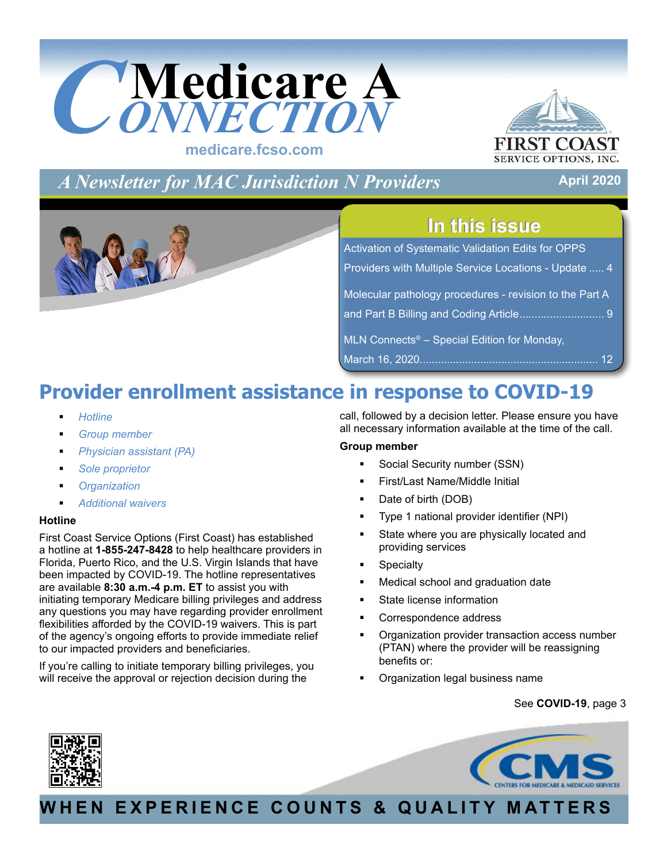<span id="page-0-0"></span>



**April 2020**

*A Newsletter for MAC Jurisdiction N Providers*

## **In this issue In this issue**

| <b>Activation of Systematic Validation Edits for OPPS</b> |
|-----------------------------------------------------------|
| Providers with Multiple Service Locations - Update  4     |
| Molecular pathology procedures - revision to the Part A   |
|                                                           |
| MLN Connects <sup>®</sup> – Special Edition for Monday,   |
|                                                           |

## **Provider enrollment assistance in response to COVID-19**

- *Hotline*
- *Group member*
- *Physician assistant (PA)*
- *Sole proprietor*
- *Organization*
- *Additional waivers*

## **Hotline**

First Coast Service Options (First Coast) has established a hotline at **1-855-247-8428** to help healthcare providers in Florida, Puerto Rico, and the U.S. Virgin Islands that have been impacted by COVID-19. The hotline representatives are available **8:30 a.m.-4 p.m. ET** to assist you with initiating temporary Medicare billing privileges and address any questions you may have regarding provider enrollment flexibilities afforded by the COVID-19 waivers. This is part of the agency's ongoing efforts to provide immediate relief to our impacted providers and beneficiaries.

If you're calling to initiate temporary billing privileges, you will receive the approval or rejection decision during the

call, followed by a decision letter. Please ensure you have all necessary information available at the time of the call.

## **Group member**

- Social Security number (SSN)
- First/Last Name/Middle Initial
- Date of birth (DOB)
- Type 1 national provider identifier (NPI)
- State where you are physically located and providing services
- **Specialty**
- Medical school and graduation date
- State license information
- Correspondence address
- Organization provider transaction access number (PTAN) where the provider will be reassigning benefits or:
- Organization legal business name

## See **[COVID-19](#page-2-0)**, page 3





## **WHEN EXPERIENCE COUNTS & QUALITY MATTERS**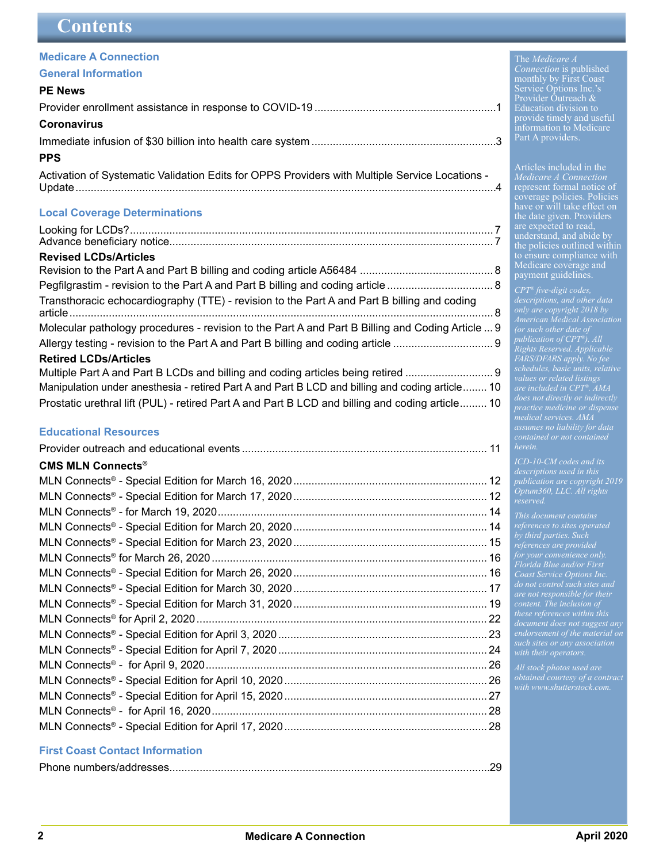## <span id="page-1-0"></span>**Contents**

## **[Medicare A Connection](#page-0-0)**

### **General Information**

## **[PE News](#page-0-0)**

| <b>Coronavirus</b>                                                                             |  |
|------------------------------------------------------------------------------------------------|--|
|                                                                                                |  |
| <b>PPS</b>                                                                                     |  |
| Activation of Systematic Validation Edits for OPPS Providers with Multiple Service Locations - |  |

#### **[Local Coverage Determinations](#page-6-0)**

| <b>Revised LCDs/Articles</b>                                                                     |  |
|--------------------------------------------------------------------------------------------------|--|
|                                                                                                  |  |
| Transthoracic echocardiography (TTE) - revision to the Part A and Part B billing and coding      |  |
| Molecular pathology procedures - revision to the Part A and Part B Billing and Coding Article  9 |  |
|                                                                                                  |  |
| <b>Retired LCDs/Articles</b>                                                                     |  |
| Multiple Part A and Part B LCDs and billing and coding articles being retired                    |  |
| Manipulation under anesthesia - retired Part A and Part B LCD and billing and coding article 10  |  |
| Prostatic urethral lift (PUL) - retired Part A and Part B LCD and billing and coding article 10  |  |

### **[Educational Resources](#page-10-0)**

| <b>CMS MLN Connects®</b> |  |
|--------------------------|--|
|                          |  |
|                          |  |
|                          |  |
|                          |  |
|                          |  |
|                          |  |
|                          |  |
|                          |  |
|                          |  |
|                          |  |
|                          |  |
|                          |  |
|                          |  |
|                          |  |
|                          |  |
|                          |  |
|                          |  |
|                          |  |

#### **First Coast Contact Information**

|--|

 The *Medicare A Connection* is published monthly by First Coast Service Options Inc.'s Provider Outreach & Education division to provide timely and useful

information to Medicare Part A providers.

*Medicare A Connection* represent formal notice of coverage policies. Policies have or will take effect on the date given. Providers are expected to read, understand, and abide by the policies outlined within to ensure compliance with Medicare coverage and payment guidelines.

*CPT® five-digit codes, only are copyright 2018 by American Medical Association publication of CPT®). All Rights Reserved. Applicable FARS/DFARS apply. No fee schedules, basic units, relative values or related listings are included in CPT®. AMA medical services. AMA assumes no liability for data herein.*

*ICD-10-CM codes and its publication are copyright 2019 Optum360, LLC. All rights reserved.*

*This document contains by third parties. Such Florida Blue and/or First Coast Service Options Inc. are not responsible for their content. The inclusion of these references within this endorsement of the material on*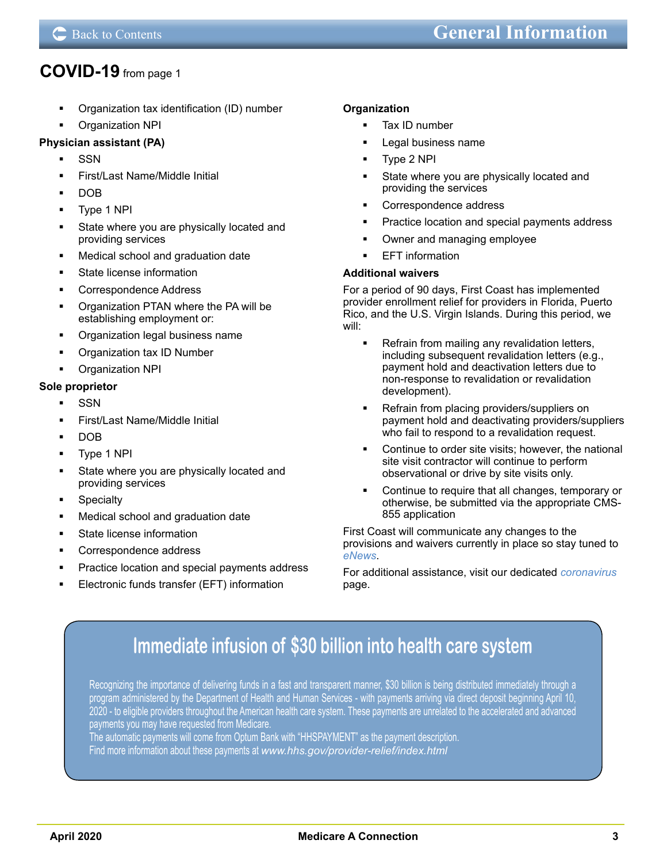## <span id="page-2-0"></span>**[COVID-19](#page-0-0)** from page 1

- Organization tax identification (ID) number
- Organization NPI

## **Physician assistant (PA)**

- SSN
- First/Last Name/Middle Initial
- DOB
- Type 1 NPI
- State where you are physically located and providing services
- Medical school and graduation date
- State license information
- Correspondence Address
- Organization PTAN where the PA will be establishing employment or:
- Organization legal business name
- Organization tax ID Number
- Organization NPI

### **Sole proprietor**

- **SSN**
- First/Last Name/Middle Initial
- DOB
- Type 1 NPI
- State where you are physically located and providing services
- **Specialty**
- Medical school and graduation date
- State license information
- Correspondence address
- Practice location and special payments address
- Electronic funds transfer (EFT) information

### **Organization**

- Tax ID number
- Legal business name
- Type 2 NPI
- State where you are physically located and providing the services
- Correspondence address
- Practice location and special payments address
- Owner and managing employee
- EFT information

#### **Additional waivers**

For a period of 90 days, First Coast has implemented provider enrollment relief for providers in Florida, Puerto Rico, and the U.S. Virgin Islands. During this period, we will:

- Refrain from mailing any revalidation letters, including subsequent revalidation letters (e.g., payment hold and deactivation letters due to non-response to revalidation or revalidation development).
- Refrain from placing providers/suppliers on payment hold and deactivating providers/suppliers who fail to respond to a revalidation request.
- Continue to order site visits; however, the national site visit contractor will continue to perform observational or drive by site visits only.
- Continue to require that all changes, temporary or otherwise, be submitted via the appropriate CMS-855 application

First Coast will communicate any changes to the provisions and waivers currently in place so stay tuned to *[eNews](https://medicare.fcso.com/Header/137525.asp)*.

For additional assistance, visit our dedicated *[coronavirus](https://medicare.fcso.com/Coronavirus/index.asp)* page.

## **[Immediate infusion of \\$30 billion into health care system](http://www.hhs.gov/provider-relief/index.html)**

Recognizing the importance of delivering funds in a fast and transparent manner, \$30 billion is being distributed immediately through a program administered by the Department of Health and Human Services - with payments arriving via direct deposit beginning April 10, 2020 - to eligible providers throughout the American health care system. These payments are unrelated to the accelerated and advanced payments you may have requested from Medicare.

The automatic payments will come from Optum Bank with "HHSPAYMENT" as the payment description.

Find more information about these payments at *www.hhs.gov/provider-relief/index.html*

֦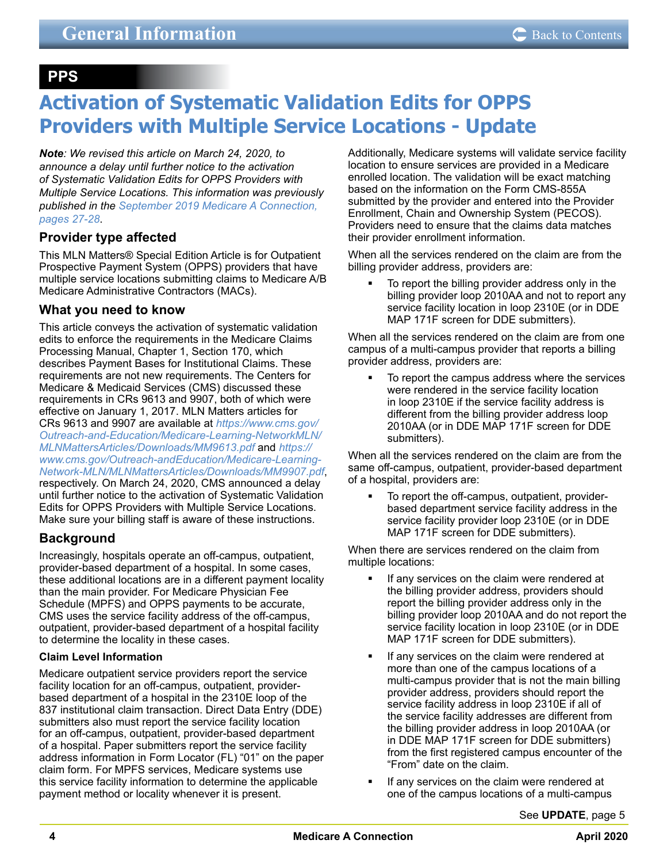## <span id="page-3-0"></span> **PPS**

## **Activation of Systematic Validation Edits for OPPS Providers with Multiple Service Locations - Update**

*Note: We revised this article on March 24, 2020, to announce a delay until further notice to the activation of Systematic Validation Edits for OPPS Providers with Multiple Service Locations. This information was previously published in the [September 2019 Medicare A Connection,](https://medicare.fcso.com/Publications_A/2019/0446033.pdf#page=27)  [pages 27-28](https://medicare.fcso.com/Publications_A/2019/0446033.pdf#page=27)*.

## **Provider type affected**

This MLN Matters® Special Edition Article is for Outpatient Prospective Payment System (OPPS) providers that have multiple service locations submitting claims to Medicare A/B Medicare Administrative Contractors (MACs).

## **What you need to know**

This article conveys the activation of systematic validation edits to enforce the requirements in the Medicare Claims Processing Manual, Chapter 1, Section 170, which describes Payment Bases for Institutional Claims. These requirements are not new requirements. The Centers for Medicare & Medicaid Services (CMS) discussed these requirements in CRs 9613 and 9907, both of which were effective on January 1, 2017. MLN Matters articles for CRs 9613 and 9907 are available at *[https://www.cms.gov/](https://www.cms.gov/Outreach-and-Education/Medicare-Learning-NetworkMLN/MLNMattersArticles/Downloads/MM9613.pdf ) [Outreach-and-Education/Medicare-Learning-NetworkMLN/](https://www.cms.gov/Outreach-and-Education/Medicare-Learning-NetworkMLN/MLNMattersArticles/Downloads/MM9613.pdf ) [MLNMattersArticles/Downloads/MM9613.pdf](https://www.cms.gov/Outreach-and-Education/Medicare-Learning-NetworkMLN/MLNMattersArticles/Downloads/MM9613.pdf )* and *[https://](https://www.cms.gov/Outreach-andEducation/Medicare-Learning-Network-MLN/MLNMattersArticles/Downloads/MM9907.pdf) [www.cms.gov/Outreach-andEducation/Medicare-Learning-](https://www.cms.gov/Outreach-andEducation/Medicare-Learning-Network-MLN/MLNMattersArticles/Downloads/MM9907.pdf)[Network-MLN/MLNMattersArticles/Downloads/MM9907.pdf](https://www.cms.gov/Outreach-andEducation/Medicare-Learning-Network-MLN/MLNMattersArticles/Downloads/MM9907.pdf)*, respectively. On March 24, 2020, CMS announced a delay until further notice to the activation of Systematic Validation Edits for OPPS Providers with Multiple Service Locations. Make sure your billing staff is aware of these instructions.

## **Background**

Increasingly, hospitals operate an off-campus, outpatient, provider-based department of a hospital. In some cases, these additional locations are in a different payment locality than the main provider. For Medicare Physician Fee Schedule (MPFS) and OPPS payments to be accurate, CMS uses the service facility address of the off-campus, outpatient, provider-based department of a hospital facility to determine the locality in these cases.

## **Claim Level Information**

Medicare outpatient service providers report the service facility location for an off-campus, outpatient, providerbased department of a hospital in the 2310E loop of the 837 institutional claim transaction. Direct Data Entry (DDE) submitters also must report the service facility location for an off-campus, outpatient, provider-based department of a hospital. Paper submitters report the service facility address information in Form Locator (FL) "01" on the paper claim form. For MPFS services, Medicare systems use this service facility information to determine the applicable payment method or locality whenever it is present.

Additionally, Medicare systems will validate service facility location to ensure services are provided in a Medicare enrolled location. The validation will be exact matching based on the information on the Form CMS-855A submitted by the provider and entered into the Provider Enrollment, Chain and Ownership System (PECOS). Providers need to ensure that the claims data matches their provider enrollment information.

When all the services rendered on the claim are from the billing provider address, providers are:

• To report the billing provider address only in the billing provider loop 2010AA and not to report any service facility location in loop 2310E (or in DDE MAP 171F screen for DDE submitters).

When all the services rendered on the claim are from one campus of a multi-campus provider that reports a billing provider address, providers are:

 To report the campus address where the services were rendered in the service facility location in loop 2310E if the service facility address is different from the billing provider address loop 2010AA (or in DDE MAP 171F screen for DDE submitters).

When all the services rendered on the claim are from the same off-campus, outpatient, provider-based department of a hospital, providers are:

 To report the off-campus, outpatient, providerbased department service facility address in the service facility provider loop 2310E (or in DDE MAP 171F screen for DDE submitters).

When there are services rendered on the claim from multiple locations:

- If any services on the claim were rendered at the billing provider address, providers should report the billing provider address only in the billing provider loop 2010AA and do not report the service facility location in loop 2310E (or in DDE MAP 171F screen for DDE submitters).
- If any services on the claim were rendered at more than one of the campus locations of a multi-campus provider that is not the main billing provider address, providers should report the service facility address in loop 2310E if all of the service facility addresses are different from the billing provider address in loop 2010AA (or in DDE MAP 171F screen for DDE submitters) from the first registered campus encounter of the "From" date on the claim.
- If any services on the claim were rendered at one of the campus locations of a multi-campus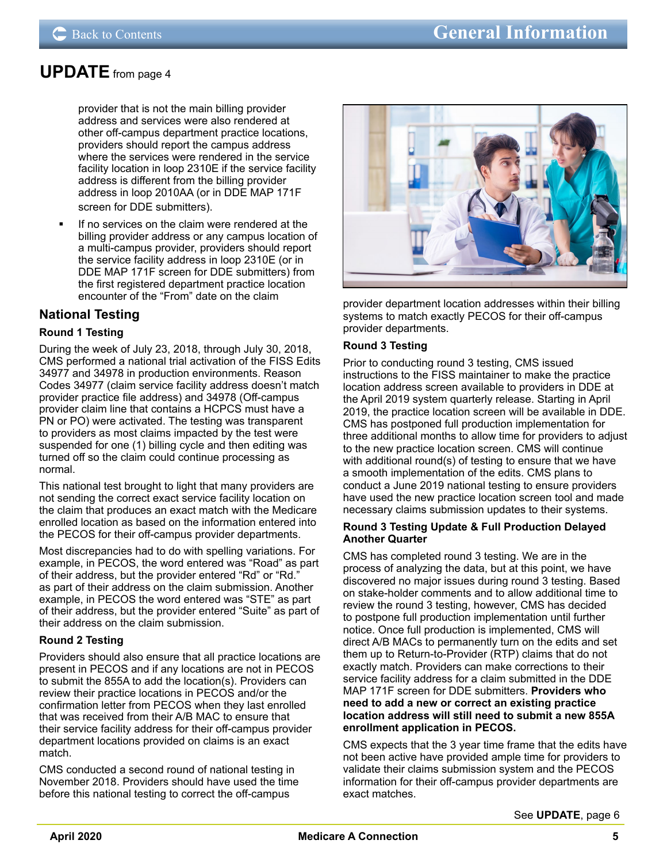## <span id="page-4-0"></span>**[UPDATE](#page-3-0)** from page 4

provider that is not the main billing provider address and services were also rendered at other off-campus department practice locations, providers should report the campus address where the services were rendered in the service facility location in loop 2310E if the service facility address is different from the billing provider address in loop 2010AA (or in DDE MAP 171F screen for DDE submitters).

 If no services on the claim were rendered at the billing provider address or any campus location of a multi-campus provider, providers should report the service facility address in loop 2310E (or in DDE MAP 171F screen for DDE submitters) from the first registered department practice location encounter of the "From" date on the claim

## **National Testing**

## **Round 1 Testing**

During the week of July 23, 2018, through July 30, 2018, CMS performed a national trial activation of the FISS Edits 34977 and 34978 in production environments. Reason Codes 34977 (claim service facility address doesn't match provider practice file address) and 34978 (Off-campus provider claim line that contains a HCPCS must have a PN or PO) were activated. The testing was transparent to providers as most claims impacted by the test were suspended for one (1) billing cycle and then editing was turned off so the claim could continue processing as normal.

This national test brought to light that many providers are not sending the correct exact service facility location on the claim that produces an exact match with the Medicare enrolled location as based on the information entered into the PECOS for their off-campus provider departments.

Most discrepancies had to do with spelling variations. For example, in PECOS, the word entered was "Road" as part of their address, but the provider entered "Rd" or "Rd." as part of their address on the claim submission. Another example, in PECOS the word entered was "STE" as part of their address, but the provider entered "Suite" as part of their address on the claim submission.

## **Round 2 Testing**

Providers should also ensure that all practice locations are present in PECOS and if any locations are not in PECOS to submit the 855A to add the location(s). Providers can review their practice locations in PECOS and/or the confirmation letter from PECOS when they last enrolled that was received from their A/B MAC to ensure that their service facility address for their off-campus provider department locations provided on claims is an exact match.

CMS conducted a second round of national testing in November 2018. Providers should have used the time before this national testing to correct the off-campus



provider department location addresses within their billing systems to match exactly PECOS for their off-campus provider departments.

### **Round 3 Testing**

Prior to conducting round 3 testing, CMS issued instructions to the FISS maintainer to make the practice location address screen available to providers in DDE at the April 2019 system quarterly release. Starting in April 2019, the practice location screen will be available in DDE. CMS has postponed full production implementation for three additional months to allow time for providers to adjust to the new practice location screen. CMS will continue with additional round(s) of testing to ensure that we have a smooth implementation of the edits. CMS plans to conduct a June 2019 national testing to ensure providers have used the new practice location screen tool and made necessary claims submission updates to their systems.

#### **Round 3 Testing Update & Full Production Delayed Another Quarter**

CMS has completed round 3 testing. We are in the process of analyzing the data, but at this point, we have discovered no major issues during round 3 testing. Based on stake-holder comments and to allow additional time to review the round 3 testing, however, CMS has decided to postpone full production implementation until further notice. Once full production is implemented, CMS will direct A/B MACs to permanently turn on the edits and set them up to Return-to-Provider (RTP) claims that do not exactly match. Providers can make corrections to their service facility address for a claim submitted in the DDE MAP 171F screen for DDE submitters. **Providers who need to add a new or correct an existing practice location address will still need to submit a new 855A enrollment application in PECOS.** 

CMS expects that the 3 year time frame that the edits have not been active have provided ample time for providers to validate their claims submission system and the PECOS information for their off-campus provider departments are exact matches.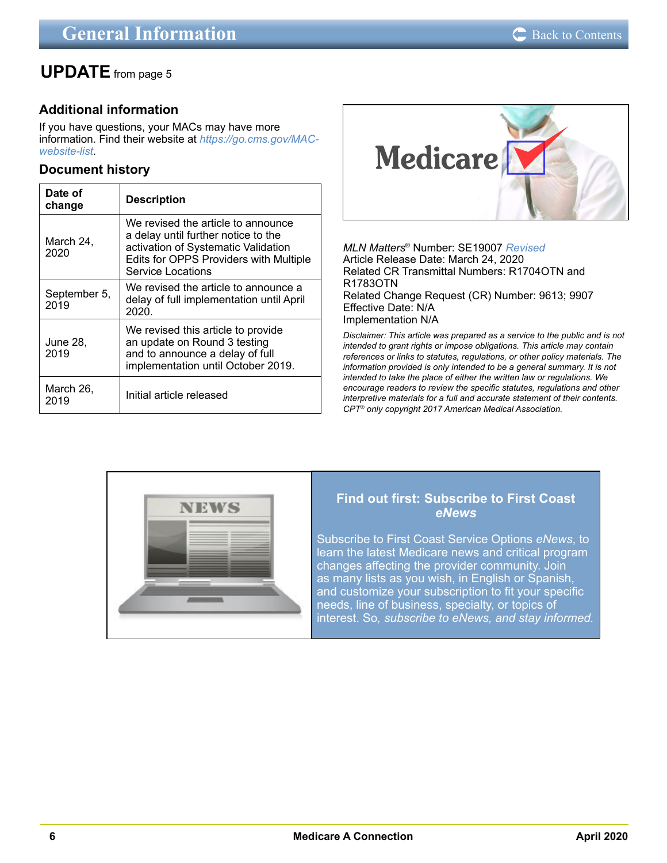## <span id="page-5-0"></span>**[UPDATE](#page-4-0)** from page 5

## **Additional information**

If you have questions, your MACs may have more information. Find their website at *[https://go.cms.gov/MAC](https://go.cms.gov/MAC-website-list)[website-list](https://go.cms.gov/MAC-website-list)*.

## **Document history**

| Date of<br>change    | <b>Description</b>                                                                                                                                                              |
|----------------------|---------------------------------------------------------------------------------------------------------------------------------------------------------------------------------|
| March 24,<br>2020    | We revised the article to announce<br>a delay until further notice to the<br>activation of Systematic Validation<br>Edits for OPPS Providers with Multiple<br>Service Locations |
| September 5,<br>2019 | We revised the article to announce a<br>delay of full implementation until April<br>2020.                                                                                       |
| June 28.<br>2019     | We revised this article to provide<br>an update on Round 3 testing<br>and to announce a delay of full<br>implementation until October 2019.                                     |
| March 26,<br>2019    | Initial article released                                                                                                                                                        |



*MLN Matters*® Number: SE19007 *Revised* Article Release Date: March 24, 2020 Related CR Transmittal Numbers: R1704OTN and R1783OTN Related Change Request (CR) Number: 9613; 9907 Effective Date: N/A Implementation N/A

*Disclaimer: This article was prepared as a service to the public and is not intended to grant rights or impose obligations. This article may contain references or links to statutes, regulations, or other policy materials. The information provided is only intended to be a general summary. It is not intended to take the place of either the written law or regulations. We encourage readers to review the specific statutes, regulations and other interpretive materials for a full and accurate statement of their contents. CPT® only copyright 2017 American Medical Association.*



## **Find out first: Subscribe to First Coast**  *eNews*

Subscribe to First Coast Service Options *eNews*, to [learn the latest Medicare news and critical program](https://medicare.fcso.com/Header/137525.asp)  changes affecting the provider community. Join as many lists as you wish, in English or Spanish, and customize your subscription to fit your specific needs, line of business, specialty, or topics of interest. So*, subscribe to eNews, and stay informed.*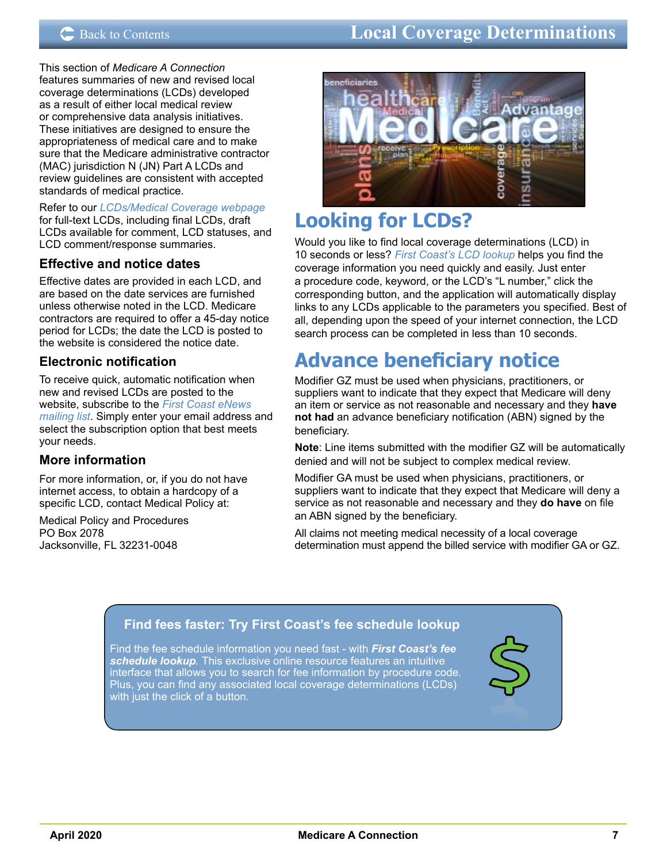## <span id="page-6-0"></span>C [Back to Contents](#page-1-0) **Electronic Data Interventions Local Coverage Determinations**

This section of *Medicare A Connection* features summaries of new and revised local coverage determinations (LCDs) developed as a result of either local medical review or comprehensive data analysis initiatives. These initiatives are designed to ensure the appropriateness of medical care and to make sure that the Medicare administrative contractor (MAC) jurisdiction N (JN) Part A LCDs and review guidelines are consistent with accepted standards of medical practice.

Refer to our *[LCDs/Medical Coverage webpage](https://medicare.fcso.com/Landing/139800.asp)* for full-text LCDs, including final LCDs, draft LCDs available for comment, LCD statuses, and LCD comment/response summaries.

## **Effective and notice dates**

Effective dates are provided in each LCD, and are based on the date services are furnished unless otherwise noted in the LCD. Medicare contractors are required to offer a 45-day notice period for LCDs; the date the LCD is posted to the website is considered the notice date.

## **Electronic notification**

To receive quick, automatic notification when new and revised LCDs are posted to the website, subscribe to the *[First Coast eNews](https://medicare.fcso.com/Header/137525.asp)  [mailing list](https://medicare.fcso.com/Header/137525.asp)*. Simply enter your email address and select the subscription option that best meets your needs.

## **More information**

For more information, or, if you do not have internet access, to obtain a hardcopy of a specific LCD, contact Medical Policy at:

Medical Policy and Procedures PO Box 2078 Jacksonville, FL 32231-0048



## **Looking for LCDs?**

Would you like to find local coverage determinations (LCD) in 10 seconds or less? *[First Coast's LCD lookup](https://medicare.fcso.com/coverage_find_lcds_and_ncds/lcd_search.asp)* helps you find the coverage information you need quickly and easily. Just enter a procedure code, keyword, or the LCD's "L number," click the corresponding button, and the application will automatically display links to any LCDs applicable to the parameters you specified. Best of all, depending upon the speed of your internet connection, the LCD search process can be completed in less than 10 seconds.

## **Advance beneficiary notice**

Modifier GZ must be used when physicians, practitioners, or suppliers want to indicate that they expect that Medicare will deny an item or service as not reasonable and necessary and they **have not had** an advance beneficiary notification (ABN) signed by the beneficiary.

**Note**: Line items submitted with the modifier GZ will be automatically denied and will not be subject to complex medical review.

Modifier GA must be used when physicians, practitioners, or suppliers want to indicate that they expect that Medicare will deny a service as not reasonable and necessary and they **do have** on file an ABN signed by the beneficiary.

All claims not meeting medical necessity of a local coverage determination must append the billed service with modifier GA or GZ.

## **[Find fees faster: Try First Coast's fee schedule lookup](http://medicare.fcso.com/Fee_lookup/fee_schedule.asp)**

Find the fee schedule information you need fast - with *First Coast's fee schedule lookup.* This exclusive online resource features an intuitive interface that allows you to search for fee information by procedure code. Plus, you can find any associated local coverage determinations (LCDs) with just the click of a button.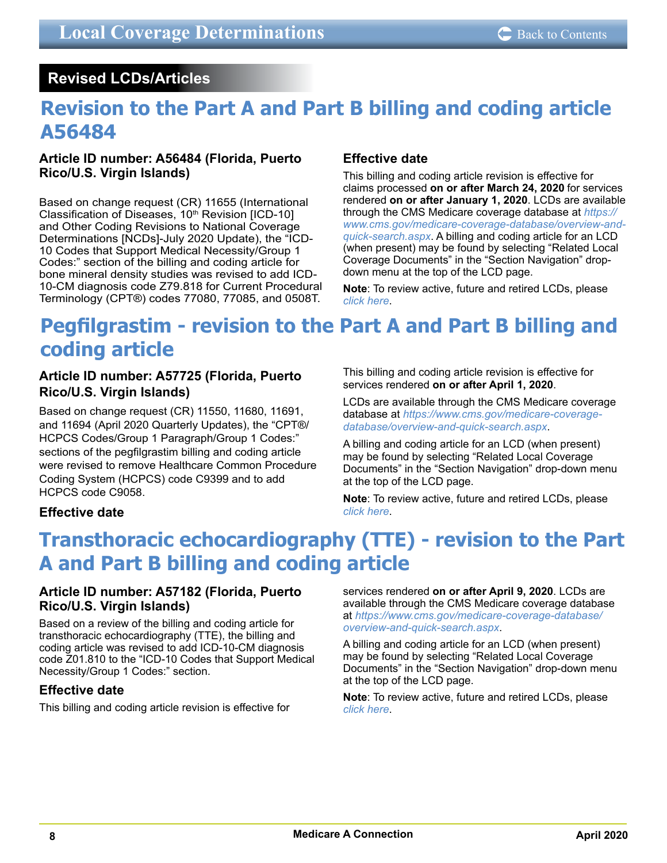## <span id="page-7-0"></span> **Revised LCDs/Articles**

## **Revision to the Part A and Part B billing and coding article A56484**

## **Article ID number: A56484 (Florida, Puerto Rico/U.S. Virgin Islands)**

Based on change request (CR) 11655 (International Classification of Diseases,  $10<sup>th</sup>$  Revision [ICD-10] and Other Coding Revisions to National Coverage Determinations [NCDs]-July 2020 Update), the "ICD-10 Codes that Support Medical Necessity/Group 1 Codes:" section of the billing and coding article for bone mineral density studies was revised to add ICD-10-CM diagnosis code Z79.818 for Current Procedural Terminology (CPT®) codes 77080, 77085, and 0508T.

## **Effective date**

This billing and coding article revision is effective for claims processed **on or after March 24, 2020** for services rendered **on or after January 1, 2020**. LCDs are available through the CMS Medicare coverage database at *[https://](https://www.cms.gov/medicare-coverage-database/overview-and-quick-search.aspx) [www.cms.gov/medicare-coverage-database/overview-and](https://www.cms.gov/medicare-coverage-database/overview-and-quick-search.aspx)[quick-search.aspx](https://www.cms.gov/medicare-coverage-database/overview-and-quick-search.aspx)*. A billing and coding article for an LCD (when present) may be found by selecting "Related Local Coverage Documents" in the "Section Navigation" dropdown menu at the top of the LCD page.

**Note**: To review active, future and retired LCDs, please *[click here](https://medicare.fcso.com/coverage_find_lcds_and_ncds/lcd_search.asp)*.

## **Pegfilgrastim - revision to the Part A and Part B billing and coding article**

## **Article ID number: A57725 (Florida, Puerto Rico/U.S. Virgin Islands)**

Based on change request (CR) 11550, 11680, 11691, and 11694 (April 2020 Quarterly Updates), the "CPT®/ HCPCS Codes/Group 1 Paragraph/Group 1 Codes:" sections of the pegfilgrastim billing and coding article were revised to remove Healthcare Common Procedure Coding System (HCPCS) code C9399 and to add HCPCS code C9058.

This billing and coding article revision is effective for services rendered **on or after April 1, 2020**.

LCDs are available through the CMS Medicare coverage database at *[https://www.cms.gov/medicare-coverage](https://www.cms.gov/medicare-coverage-database/overview-and-quick-search.aspx)[database/overview-and-quick-search.aspx](https://www.cms.gov/medicare-coverage-database/overview-and-quick-search.aspx)*.

A billing and coding article for an LCD (when present) may be found by selecting "Related Local Coverage Documents" in the "Section Navigation" drop-down menu at the top of the LCD page.

**Note**: To review active, future and retired LCDs, please *[click here](https://medicare.fcso.com/coverage_find_lcds_and_ncds/lcd_search.asp)*.

## **Effective date**

## **Transthoracic echocardiography (TTE) - revision to the Part A and Part B billing and coding article**

## **Article ID number: A57182 (Florida, Puerto Rico/U.S. Virgin Islands)**

Based on a review of the billing and coding article for transthoracic echocardiography (TTE), the billing and coding article was revised to add ICD-10-CM diagnosis code Z01.810 to the "ICD-10 Codes that Support Medical Necessity/Group 1 Codes:" section.

## **Effective date**

This billing and coding article revision is effective for

services rendered **on or after April 9, 2020**. LCDs are available through the CMS Medicare coverage database at *[https://www.cms.gov/medicare-coverage-database/](https://www.cms.gov/medicare-coverage-database/overview-and-quick-search.aspx) [overview-and-quick-search.aspx](https://www.cms.gov/medicare-coverage-database/overview-and-quick-search.aspx)*.

A billing and coding article for an LCD (when present) may be found by selecting "Related Local Coverage Documents" in the "Section Navigation" drop-down menu at the top of the LCD page.

**Note**: To review active, future and retired LCDs, please *[click here](https://medicare.fcso.com/coverage_find_lcds_and_ncds/lcd_search.asp)*.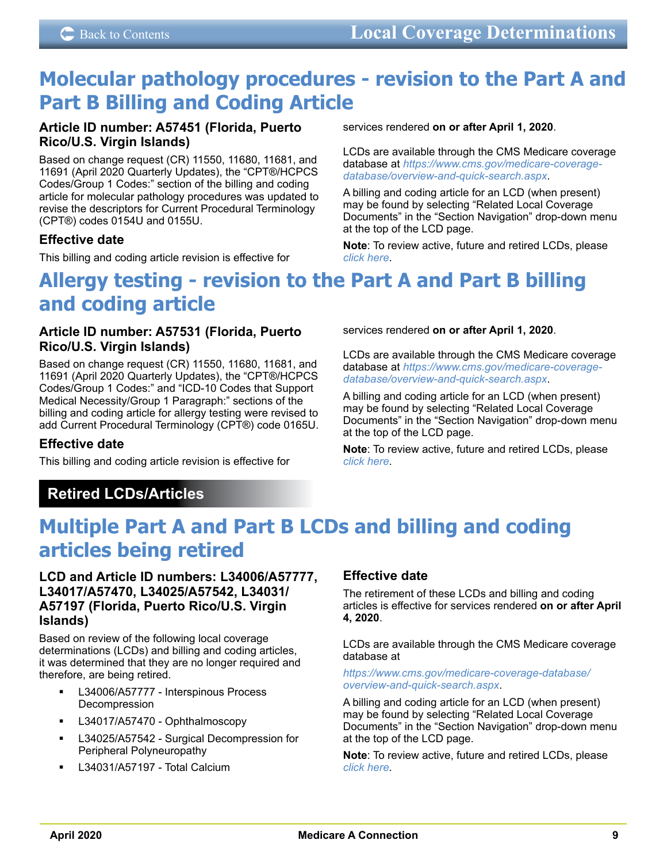## <span id="page-8-0"></span>**Molecular pathology procedures - revision to the Part A and Part B Billing and Coding Article**

## **Article ID number: A57451 (Florida, Puerto Rico/U.S. Virgin Islands)**

Based on change request (CR) 11550, 11680, 11681, and 11691 (April 2020 Quarterly Updates), the "CPT®/HCPCS Codes/Group 1 Codes:" section of the billing and coding article for molecular pathology procedures was updated to revise the descriptors for Current Procedural Terminology (CPT®) codes 0154U and 0155U.

## **Effective date**

This billing and coding article revision is effective for

services rendered **on or after April 1, 2020**.

LCDs are available through the CMS Medicare coverage database at *[https://www.cms.gov/medicare-coverage](https://www.cms.gov/medicare-coverage-database/overview-and-quick-search.aspx)[database/overview-and-quick-search.aspx](https://www.cms.gov/medicare-coverage-database/overview-and-quick-search.aspx)*.

A billing and coding article for an LCD (when present) may be found by selecting "Related Local Coverage Documents" in the "Section Navigation" drop-down menu at the top of the LCD page.

**Note**: To review active, future and retired LCDs, please *[click here](https://medicare.fcso.com/coverage_find_lcds_and_ncds/lcd_search.asp)*.

## **Allergy testing - revision to the Part A and Part B billing and coding article**

## **Article ID number: A57531 (Florida, Puerto Rico/U.S. Virgin Islands)**

Based on change request (CR) 11550, 11680, 11681, and 11691 (April 2020 Quarterly Updates), the "CPT®/HCPCS Codes/Group 1 Codes:" and "ICD-10 Codes that Support Medical Necessity/Group 1 Paragraph:" sections of the billing and coding article for allergy testing were revised to add Current Procedural Terminology (CPT®) code 0165U.

## **Effective date**

This billing and coding article revision is effective for

## LCDs are available through the CMS Medicare coverage

services rendered **on or after April 1, 2020**.

database at *[https://www.cms.gov/medicare-coverage](https://www.cms.gov/medicare-coverage-database/overview-and-quick-search.aspx)[database/overview-and-quick-search.aspx](https://www.cms.gov/medicare-coverage-database/overview-and-quick-search.aspx)*.

A billing and coding article for an LCD (when present) may be found by selecting "Related Local Coverage Documents" in the "Section Navigation" drop-down menu at the top of the LCD page.

**Note**: To review active, future and retired LCDs, please *[click here](https://medicare.fcso.com/coverage_find_lcds_and_ncds/lcd_search.asp)*.

## **Retired LCDs/Articles**

## **Multiple Part A and Part B LCDs and billing and coding articles being retired**

## **LCD and Article ID numbers: L34006/A57777, L34017/A57470, L34025/A57542, L34031/ A57197 (Florida, Puerto Rico/U.S. Virgin Islands)**

Based on review of the following local coverage determinations (LCDs) and billing and coding articles, it was determined that they are no longer required and therefore, are being retired.

- L34006/A57777 Interspinous Process Decompression
- L34017/A57470 Ophthalmoscopy
- L34025/A57542 Surgical Decompression for Peripheral Polyneuropathy
- L34031/A57197 Total Calcium

## **Effective date**

The retirement of these LCDs and billing and coding articles is effective for services rendered **on or after April 4, 2020**.

LCDs are available through the CMS Medicare coverage database at

#### *[https://www.cms.gov/medicare-coverage-database/](https://www.cms.gov/medicare-coverage-database/overview-and-quick-search.aspx) [overview-and-quick-search.aspx](https://www.cms.gov/medicare-coverage-database/overview-and-quick-search.aspx)*.

A billing and coding article for an LCD (when present) may be found by selecting "Related Local Coverage Documents" in the "Section Navigation" drop-down menu at the top of the LCD page.

**Note**: To review active, future and retired LCDs, please *[click here](https://medicare.fcso.com/coverage_find_lcds_and_ncds/lcd_search.asp)*.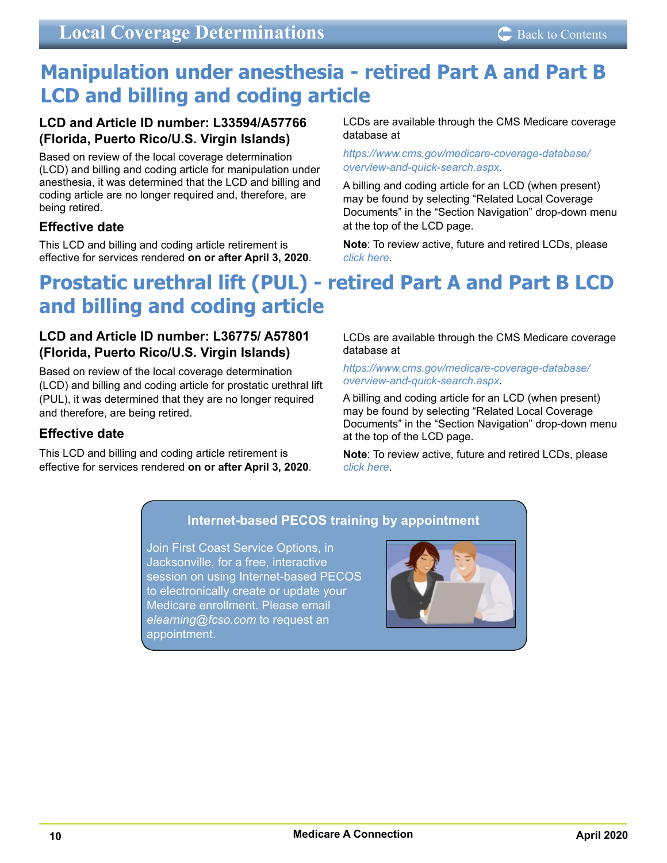## <span id="page-9-0"></span>**Manipulation under anesthesia - retired Part A and Part B LCD and billing and coding article**

## **LCD and Article ID number: L33594/A57766 (Florida, Puerto Rico/U.S. Virgin Islands)**

Based on review of the local coverage determination (LCD) and billing and coding article for manipulation under anesthesia, it was determined that the LCD and billing and coding article are no longer required and, therefore, are being retired.

## **Effective date**

This LCD and billing and coding article retirement is effective for services rendered **on or after April 3, 2020**. LCDs are available through the CMS Medicare coverage database at

*[https://www.cms.gov/medicare-coverage-database/](https://www.cms.gov/medicare-coverage-database/overview-and-quick-search.aspx) [overview-and-quick-search.aspx](https://www.cms.gov/medicare-coverage-database/overview-and-quick-search.aspx)*.

A billing and coding article for an LCD (when present) may be found by selecting "Related Local Coverage Documents" in the "Section Navigation" drop-down menu at the top of the LCD page.

**Note**: To review active, future and retired LCDs, please *[click here](https://medicare.fcso.com/coverage_find_lcds_and_ncds/lcd_search.asp)*.

## **Prostatic urethral lift (PUL) - retired Part A and Part B LCD and billing and coding article**

## **LCD and Article ID number: L36775/ A57801 (Florida, Puerto Rico/U.S. Virgin Islands)**

Based on review of the local coverage determination (LCD) and billing and coding article for prostatic urethral lift (PUL), it was determined that they are no longer required and therefore, are being retired.

## **Effective date**

This LCD and billing and coding article retirement is effective for services rendered **on or after April 3, 2020**. LCDs are available through the CMS Medicare coverage database at

#### *[https://www.cms.gov/medicare-coverage-database/](https://www.cms.gov/medicare-coverage-database/overview-and-quick-search.aspx) [overview-and-quick-search.aspx](https://www.cms.gov/medicare-coverage-database/overview-and-quick-search.aspx)*.

A billing and coding article for an LCD (when present) may be found by selecting "Related Local Coverage Documents" in the "Section Navigation" drop-down menu at the top of the LCD page.

**Note**: To review active, future and retired LCDs, please *[click here](https://medicare.fcso.com/coverage_find_lcds_and_ncds/lcd_search.asp)*.

## **[Internet-based PECOS training by appointment](https://medicare.fcso.com/pecos_news/191943.asp?wt.ac=enrollqc&wt.ad=homepage%20banner)**

Join First Coast Service Options, in Jacksonville, for a free, interactive session on using Internet-based PECOS to electronically create or update your Medicare enrollment. Please email *elearning@fcso.com* to request an appointment.

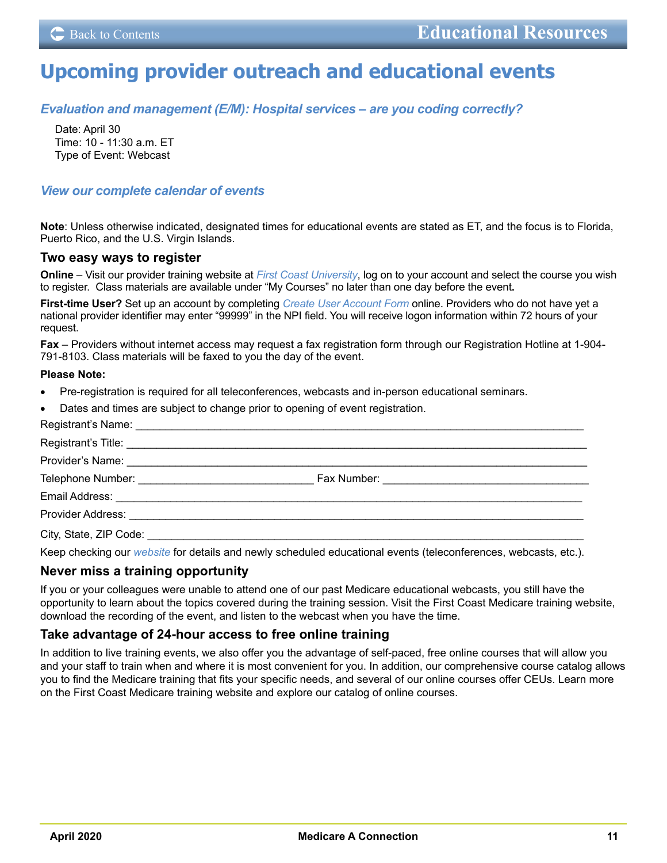## <span id="page-10-0"></span>**Upcoming provider outreach and educational events**

## *[Evaluation and management \(E/M\): Hospital services – are you coding correctly?](https://medicare.fcso.com/Events/0459447.asp)*

Date: April 30 Time: 10 - 11:30 a.m. ET Type of Event: Webcast

## *[View our complete calendar of events](https://medicare.fcso.com/Events/139814.asp)*

**Note**: Unless otherwise indicated, designated times for educational events are stated as ET, and the focus is to Florida, Puerto Rico, and the U.S. Virgin Islands.

### **Two easy ways to register**

**Online** – Visit our provider training website at *[First Coast University](https://guidewell.sumtotal.host/Broker/Account/Login.aspx?wtrealm=https%3a%2f%2fGUIDEWELL.sumtotal.host%2fcore%2f&init=true&ReturnUrl=http%3a%2f%2fguidewell.sumtotal.host%2fBroker%2fToken%2fSaml11.ashx%3fwa%3dwsignin1.0%26wtrealm%3dhttps%253a%252f%252fGUIDEWELL.sumtotal.host%252fcore%252f%26wreply%3dhttps%253a%252f%252fguidewell.sumtotal.host%252fCore&bypassfederation=1&domainid=8A0DED2D7B2C42E650514E91ABFEC309)*, log on to your account and select the course you wish to register. Class materials are available under "My Courses" no later than one day before the event**.** 

**First-time User?** Set up an account by completing *[Create User Account Form](https://guidewell.sumtotal.host/Broker/Account/SelfCreateUser.aspx?wtrealm=https%3a%2f%2fGUIDEWELL.sumtotal.host%2fcore%2f&ReturnUrl=http%3a%2f%2fguidewell.sumtotal.host%2fBroker%2fToken%2fSaml11.ashx%3fwa%3dwsignin1.0%26wtrealm%3dhttps%253a%252f%252fGUIDEWELL.sumtotal.host%252fcore%252f%26wreply%3dhttps%253a%252f%252fguidewell.sumtotal.host%252fCore&domainid=52E779EF85124601060E2A610FE1897F)* online. Providers who do not have yet a national provider identifier may enter "99999" in the NPI field. You will receive logon information within 72 hours of your request.

**Fax** – Providers without internet access may request a fax registration form through our Registration Hotline at 1-904- 791-8103. Class materials will be faxed to you the day of the event.

#### **Please Note:**

- Pre-registration is required for all teleconferences, webcasts and in-person educational seminars.
- Dates and times are subject to change prior to opening of event registration.

| Registrant's Title: <b>Manual According to the Contract of the Contract of Contract of Contract of Contract of Contract of Contract of Contract of Contract of Contract of Contract of Contract of Contract of Contract of Contr</b> |  |
|--------------------------------------------------------------------------------------------------------------------------------------------------------------------------------------------------------------------------------------|--|
|                                                                                                                                                                                                                                      |  |
|                                                                                                                                                                                                                                      |  |
|                                                                                                                                                                                                                                      |  |
|                                                                                                                                                                                                                                      |  |
|                                                                                                                                                                                                                                      |  |
|                                                                                                                                                                                                                                      |  |

Keep checking our *[website](https://medicare.fcso.com/)* for details and newly scheduled educational events (teleconferences, webcasts, etc.).

## **Never miss a training opportunity**

If you or your colleagues were unable to attend one of our past Medicare educational webcasts, you still have the opportunity to learn about the topics covered during the training session. Visit the First Coast Medicare training website, download the recording of the event, and listen to the webcast when you have the time.

## **Take advantage of 24-hour access to free online training**

In addition to live training events, we also offer you the advantage of self-paced, free online courses that will allow you and your staff to train when and where it is most convenient for you. In addition, our comprehensive course catalog allows you to find the Medicare training that fits your specific needs, and several of our online courses offer CEUs. Learn more on the First Coast Medicare training website and explore our catalog of online courses.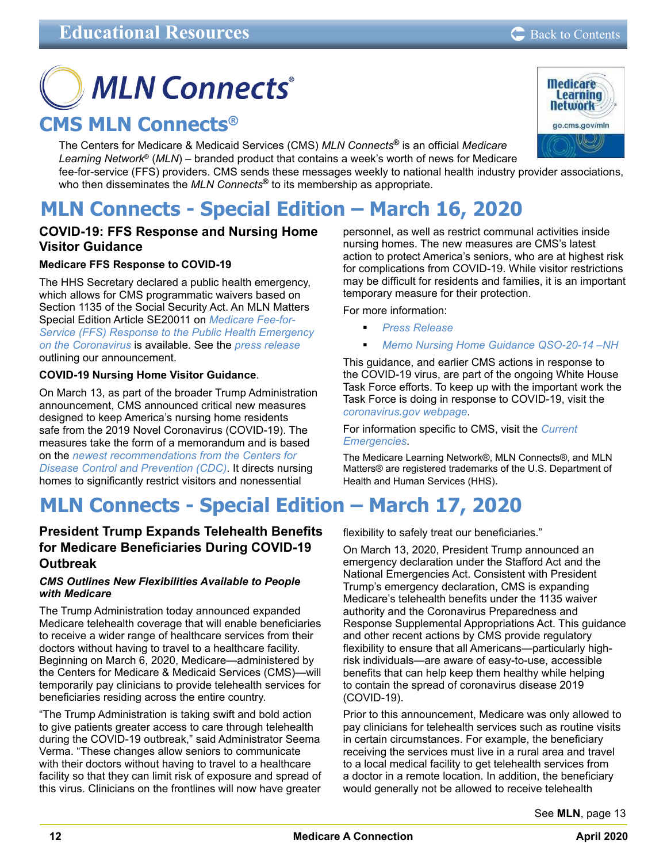# <span id="page-11-0"></span>**MLN Connects**® **CMS MLN Connects®**

The Centers for Medicare & Medicaid Services (CMS) *MLN Connects***®** is an official *Medicare Learning Network*® (*MLN*) – branded product that contains a week's worth of news for Medicare fee-for-service (FFS) providers. CMS sends these messages weekly to national health industry provider associations, who then disseminates the *MLN Connects*<sup>®</sup> to its membership as appropriate.



## **COVID-19: FFS Response and Nursing Home Visitor Guidance**

## **Medicare FFS Response to COVID-19**

The HHS Secretary declared a public health emergency, which allows for CMS programmatic waivers based on Section 1135 of the Social Security Act. An MLN Matters Special Edition Article SE20011 on *[Medicare Fee-for-](https://www.cms.gov/files/document/se20011.pdf)[Service \(FFS\) Response to the Public Health Emergency](https://www.cms.gov/files/document/se20011.pdf)  [on the Coronavirus](https://www.cms.gov/files/document/se20011.pdf)* is available. See the *[press release](https://www.cms.gov/newsroom/press-releases/cms-takes-action-nationwide-aggressively-respond-coronavirus-national-emergency)* outlining our announcement.

## **COVID-19 Nursing Home Visitor Guidance**.

On March 13, as part of the broader Trump Administration announcement, CMS announced critical new measures designed to keep America's nursing home residents safe from the 2019 Novel Coronavirus (COVID-19). The measures take the form of a memorandum and is based on the *[newest recommendations from the Centers for](https://www.cdc.gov/coronavirus/2019-ncov/healthcare-facilities/prevent-spread-in-long-term-care-facilities.html)  [Disease Control and Prevention \(CDC\)](https://www.cdc.gov/coronavirus/2019-ncov/healthcare-facilities/prevent-spread-in-long-term-care-facilities.html)*. It directs nursing homes to significantly restrict visitors and nonessential

## **MLN Connects - Special Edition – March 17, 2020**

## **President Trump Expands Telehealth Benefits for Medicare Beneficiaries During COVID-19 Outbreak**

#### *CMS Outlines New Flexibilities Available to People with Medicare*

The Trump Administration today announced expanded Medicare telehealth coverage that will enable beneficiaries to receive a wider range of healthcare services from their doctors without having to travel to a healthcare facility. Beginning on March 6, 2020, Medicare—administered by the Centers for Medicare & Medicaid Services (CMS)—will temporarily pay clinicians to provide telehealth services for beneficiaries residing across the entire country.

"The Trump Administration is taking swift and bold action to give patients greater access to care through telehealth during the COVID-19 outbreak," said Administrator Seema Verma. "These changes allow seniors to communicate with their doctors without having to travel to a healthcare facility so that they can limit risk of exposure and spread of this virus. Clinicians on the frontlines will now have greater

personnel, as well as restrict communal activities inside nursing homes. The new measures are CMS's latest action to protect America's seniors, who are at highest risk for complications from COVID-19. While visitor restrictions may be difficult for residents and families, it is an important temporary measure for their protection.

For more information:

- *[Press Release](https://www.cms.gov/newsroom/press-releases/cms-announces-new-measures-protect-nursing-home-residents-covid-19)*
- *[Memo Nursing Home Guidance QSO-20-14 –NH](https://www.cms.gov/files/document/3-13-2020-nursing-home-guidance-covid-19.pdf)*

This guidance, and earlier CMS actions in response to the COVID-19 virus, are part of the ongoing White House Task Force efforts. To keep up with the important work the Task Force is doing in response to COVID-19, visit the *[coronavirus.gov webpage](https://www.cdc.gov/coronavirus/2019-ncov/index.html)*.

For information specific to CMS, visit the *[Current](https://www.cms.gov/About-CMS/Agency-Information/Emergency/EPRO/Current-Emergencies/Current-Emergencies-page)  [Emergencies](https://www.cms.gov/About-CMS/Agency-Information/Emergency/EPRO/Current-Emergencies/Current-Emergencies-page)*.

The Medicare Learning Network®, MLN Connects®, and MLN Matters® are registered trademarks of the U.S. Department of Health and Human Services (HHS).

flexibility to safely treat our beneficiaries."

On March 13, 2020, President Trump announced an emergency declaration under the Stafford Act and the National Emergencies Act. Consistent with President Trump's emergency declaration, CMS is expanding Medicare's telehealth benefits under the 1135 waiver authority and the Coronavirus Preparedness and Response Supplemental Appropriations Act. This guidance and other recent actions by CMS provide regulatory flexibility to ensure that all Americans—particularly highrisk individuals—are aware of easy-to-use, accessible benefits that can help keep them healthy while helping to contain the spread of coronavirus disease 2019 (COVID-19).

Prior to this announcement, Medicare was only allowed to pay clinicians for telehealth services such as routine visits in certain circumstances. For example, the beneficiary receiving the services must live in a rural area and travel to a local medical facility to get telehealth services from a doctor in a remote location. In addition, the beneficiary would generally not be allowed to receive telehealth

See **MLN**[, page 13](#page-12-0)

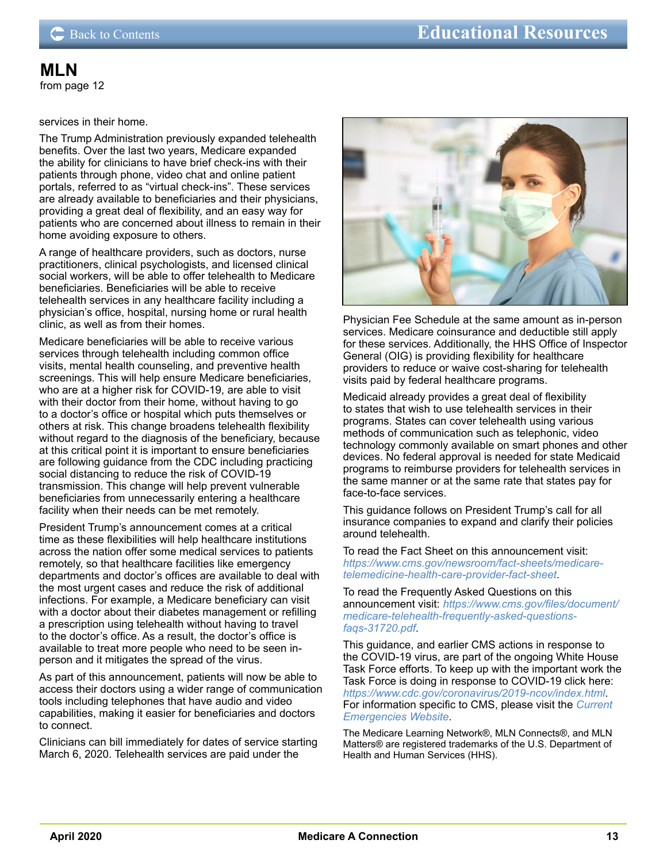### <span id="page-12-0"></span>services in their home.

The Trump Administration previously expanded telehealth benefits. Over the last two years, Medicare expanded the ability for clinicians to have brief check-ins with their patients through phone, video chat and online patient portals, referred to as "virtual check-ins". These services are already available to beneficiaries and their physicians, providing a great deal of flexibility, and an easy way for patients who are concerned about illness to remain in their home avoiding exposure to others.

A range of healthcare providers, such as doctors, nurse practitioners, clinical psychologists, and licensed clinical social workers, will be able to offer telehealth to Medicare beneficiaries. Beneficiaries will be able to receive telehealth services in any healthcare facility including a physician's office, hospital, nursing home or rural health clinic, as well as from their homes.

Medicare beneficiaries will be able to receive various services through telehealth including common office visits, mental health counseling, and preventive health screenings. This will help ensure Medicare beneficiaries, who are at a higher risk for COVID-19, are able to visit with their doctor from their home, without having to go to a doctor's office or hospital which puts themselves or others at risk. This change broadens telehealth flexibility without regard to the diagnosis of the beneficiary, because at this critical point it is important to ensure beneficiaries are following guidance from the CDC including practicing social distancing to reduce the risk of COVID-19 transmission. This change will help prevent vulnerable beneficiaries from unnecessarily entering a healthcare facility when their needs can be met remotely.

President Trump's announcement comes at a critical time as these flexibilities will help healthcare institutions across the nation offer some medical services to patients remotely, so that healthcare facilities like emergency departments and doctor's offices are available to deal with the most urgent cases and reduce the risk of additional infections. For example, a Medicare beneficiary can visit with a doctor about their diabetes management or refilling a prescription using telehealth without having to travel to the doctor's office. As a result, the doctor's office is available to treat more people who need to be seen inperson and it mitigates the spread of the virus.

As part of this announcement, patients will now be able to access their doctors using a wider range of communication tools including telephones that have audio and video capabilities, making it easier for beneficiaries and doctors to connect.

Clinicians can bill immediately for dates of service starting March 6, 2020. Telehealth services are paid under the



Physician Fee Schedule at the same amount as in-person services. Medicare coinsurance and deductible still apply for these services. Additionally, the HHS Office of Inspector General (OIG) is providing flexibility for healthcare providers to reduce or waive cost-sharing for telehealth visits paid by federal healthcare programs.

Medicaid already provides a great deal of flexibility to states that wish to use telehealth services in their programs. States can cover telehealth using various methods of communication such as telephonic, video technology commonly available on smart phones and other devices. No federal approval is needed for state Medicaid programs to reimburse providers for telehealth services in the same manner or at the same rate that states pay for face-to-face services.

This guidance follows on President Trump's call for all insurance companies to expand and clarify their policies around telehealth.

To read the Fact Sheet on this announcement visit: *[https://www.cms.gov/newsroom/fact-sheets/medicare](https://lnks.gd/l/eyJhbGciOiJIUzI1NiJ9.eyJidWxsZXRpbl9saW5rX2lkIjoxMDAsInVyaSI6ImJwMjpjbGljayIsImJ1bGxldGluX2lkIjoiMjAyMDAzMTcuMTg4NzMxNDEiLCJ1cmwiOiJodHRwczovL2xua3MuZ2QvbC9leUpoYkdjaU9pSklVekkxTmlKOS5leUppZFd4c1pYUnBibDlzYVc1clgybGtJam94TURFc0luVnlhU0k2SW1Kd01qcGpiR2xqYXlJc0ltSjFiR3hsZEdsdVgybGtJam9pTWpBeU1EQXpNVGN1TVRnNE5qVXlNakVpTENKMWNtd2lPaUpvZEhSd2N6b3ZMM2QzZHk1amJYTXVaMjkyTDI1bGQzTnliMjl0TDJaaFkzUXRjMmhsWlhSekwyMWxaR2xqWVhKbExYUmxiR1Z0WldScFkybHVaUzFvWldGc2RHZ3RZMkZ5WlMxd2NtOTJhV1JsY2kxbVlXTjBMWE5vWldWMEluMC5PYW9PNlVmRm90QU5UMVhKN3hpTnIzY29qc2NUNi00LS1lWEwxajhLY2wwL2JyLzc2MjEzNDk2OTA2LWwifQ.DfeaP5gnpYC7iCawNhXR_lYd9IMH_wvZIoDGGY7x5t0/br/76225601662-l)[telemedicine-health-care-provider-fact-sheet](https://lnks.gd/l/eyJhbGciOiJIUzI1NiJ9.eyJidWxsZXRpbl9saW5rX2lkIjoxMDAsInVyaSI6ImJwMjpjbGljayIsImJ1bGxldGluX2lkIjoiMjAyMDAzMTcuMTg4NzMxNDEiLCJ1cmwiOiJodHRwczovL2xua3MuZ2QvbC9leUpoYkdjaU9pSklVekkxTmlKOS5leUppZFd4c1pYUnBibDlzYVc1clgybGtJam94TURFc0luVnlhU0k2SW1Kd01qcGpiR2xqYXlJc0ltSjFiR3hsZEdsdVgybGtJam9pTWpBeU1EQXpNVGN1TVRnNE5qVXlNakVpTENKMWNtd2lPaUpvZEhSd2N6b3ZMM2QzZHk1amJYTXVaMjkyTDI1bGQzTnliMjl0TDJaaFkzUXRjMmhsWlhSekwyMWxaR2xqWVhKbExYUmxiR1Z0WldScFkybHVaUzFvWldGc2RHZ3RZMkZ5WlMxd2NtOTJhV1JsY2kxbVlXTjBMWE5vWldWMEluMC5PYW9PNlVmRm90QU5UMVhKN3hpTnIzY29qc2NUNi00LS1lWEwxajhLY2wwL2JyLzc2MjEzNDk2OTA2LWwifQ.DfeaP5gnpYC7iCawNhXR_lYd9IMH_wvZIoDGGY7x5t0/br/76225601662-l)*.

To read the Frequently Asked Questions on this announcement visit: *[https://www.cms.gov/files/document/](https://www.cms.gov/files/document/medicare-telehealth-frequently-asked-questions-faqs-31720.pdf) [medicare-telehealth-frequently-asked-questions](https://www.cms.gov/files/document/medicare-telehealth-frequently-asked-questions-faqs-31720.pdf)[faqs-31720.pdf](https://www.cms.gov/files/document/medicare-telehealth-frequently-asked-questions-faqs-31720.pdf)*.

This guidance, and earlier CMS actions in response to the COVID-19 virus, are part of the ongoing White House Task Force efforts. To keep up with the important work the Task Force is doing in response to COVID-19 click here: *<https://www.cdc.gov/coronavirus/2019-ncov/index.html>*. For information specific to CMS, please visit the *[Current](https://www.cms.gov/About-CMS/Agency-Information/Emergency/EPRO/Current-Emergencies/Current-Emergencies-page)  [Emergencies Website](https://www.cms.gov/About-CMS/Agency-Information/Emergency/EPRO/Current-Emergencies/Current-Emergencies-page)*.

The Medicare Learning Network®, MLN Connects®, and MLN Matters® are registered trademarks of the U.S. Department of Health and Human Services (HHS).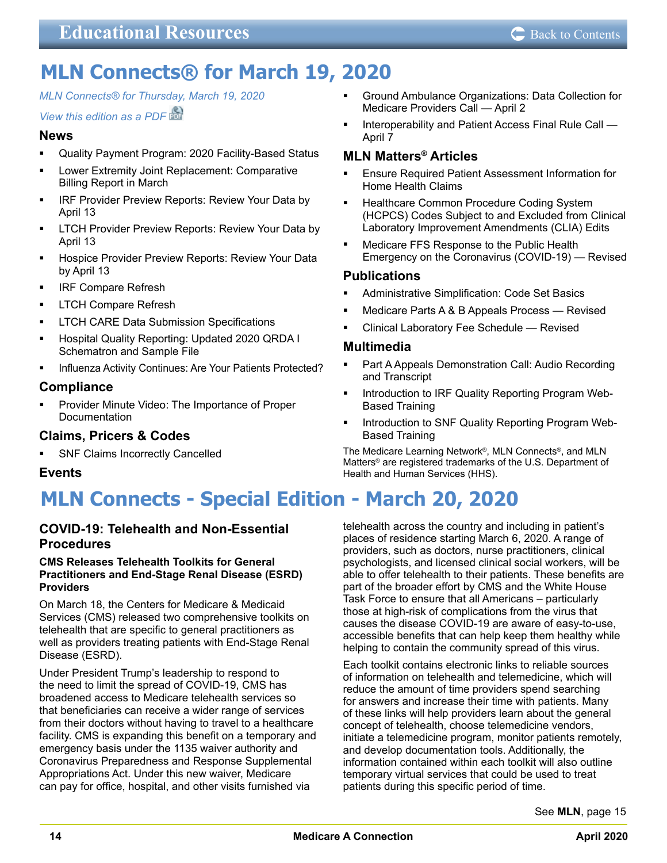## <span id="page-13-0"></span>**MLN Connects® for March 19, 2020**

*[MLN Connects® for Thursday, March 19, 2020](https://www.cms.gov/outreach-and-educationoutreachffsprovpartprogprovider-partnership-email-archive/2020-03-19-mlnc)*

## *[View this edition as a PDF](https://www.cms.gov/files/document/2020-03-19-mlnc.pdf)*

## **News**

- Quality Payment Program: 2020 Facility-Based Status
- Lower Extremity Joint Replacement: Comparative Billing Report in March
- IRF Provider Preview Reports: Review Your Data by April 13
- LTCH Provider Preview Reports: Review Your Data by April 13
- Hospice Provider Preview Reports: Review Your Data by April 13
- IRF Compare Refresh
- LTCH Compare Refresh
- LTCH CARE Data Submission Specifications
- Hospital Quality Reporting: Updated 2020 QRDA I Schematron and Sample File
- Influenza Activity Continues: Are Your Patients Protected?

## **Compliance**

 Provider Minute Video: The Importance of Proper Documentation

## **Claims, Pricers & Codes**

 SNF Claims Incorrectly Cancelled

## **Events**

## **MLN Connects - Special Edition - March 20, 2020**

## **COVID-19: Telehealth and Non-Essential Procedures**

#### **CMS Releases Telehealth Toolkits for General Practitioners and End-Stage Renal Disease (ESRD) Providers**

On March 18, the Centers for Medicare & Medicaid Services (CMS) released two comprehensive toolkits on telehealth that are specific to general practitioners as well as providers treating patients with End-Stage Renal Disease (ESRD).

Under President Trump's leadership to respond to the need to limit the spread of COVID-19, CMS has broadened access to Medicare telehealth services so that beneficiaries can receive a wider range of services from their doctors without having to travel to a healthcare facility. CMS is expanding this benefit on a temporary and emergency basis under the 1135 waiver authority and Coronavirus Preparedness and Response Supplemental Appropriations Act. Under this new waiver, Medicare can pay for office, hospital, and other visits furnished via

- Ground Ambulance Organizations: Data Collection for Medicare Providers Call — April 2
- Interoperability and Patient Access Final Rule Call April 7

## **MLN Matters® Articles**

- Ensure Required Patient Assessment Information for Home Health Claims
- Healthcare Common Procedure Coding System (HCPCS) Codes Subject to and Excluded from Clinical Laboratory Improvement Amendments (CLIA) Edits
- Medicare FFS Response to the Public Health Emergency on the Coronavirus (COVID-19) — Revised

## **Publications**

- Administrative Simplification: Code Set Basics
- Medicare Parts A & B Appeals Process Revised
- Clinical Laboratory Fee Schedule Revised

## **Multimedia**

- Part A Appeals Demonstration Call: Audio Recording and Transcript
- Introduction to IRF Quality Reporting Program Web-Based Training
- Introduction to SNF Quality Reporting Program Web-Based Training

The Medicare Learning Network®, MLN Connects®, and MLN Matters® are registered trademarks of the U.S. Department of Health and Human Services (HHS).

telehealth across the country and including in patient's places of residence starting March 6, 2020. A range of providers, such as doctors, nurse practitioners, clinical psychologists, and licensed clinical social workers, will be able to offer telehealth to their patients. These benefits are part of the broader effort by CMS and the White House Task Force to ensure that all Americans – particularly those at high-risk of complications from the virus that causes the disease COVID-19 are aware of easy-to-use, accessible benefits that can help keep them healthy while helping to contain the community spread of this virus.

Each toolkit contains electronic links to reliable sources of information on telehealth and telemedicine, which will reduce the amount of time providers spend searching for answers and increase their time with patients. Many of these links will help providers learn about the general concept of telehealth, choose telemedicine vendors, initiate a telemedicine program, monitor patients remotely, and develop documentation tools. Additionally, the information contained within each toolkit will also outline temporary virtual services that could be used to treat patients during this specific period of time.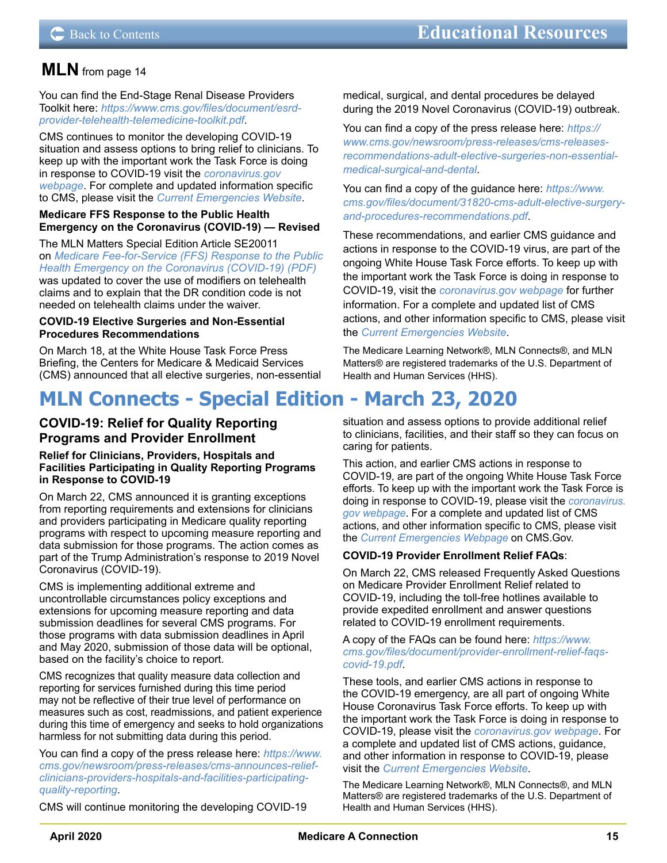<span id="page-14-0"></span>You can find the End-Stage Renal Disease Providers Toolkit here: *[https://www.cms.gov/files/document/esrd](https://www.cms.gov/files/document/esrd-provider-telehealth-telemedicine-toolkit.pdf)[provider-telehealth-telemedicine-toolkit.pdf](https://www.cms.gov/files/document/esrd-provider-telehealth-telemedicine-toolkit.pdf)*.

CMS continues to monitor the developing COVID-19 situation and assess options to bring relief to clinicians. To keep up with the important work the Task Force is doing in response to COVID-19 visit the *[coronavirus.gov](https://www.cdc.gov/coronavirus/2019-ncov/index.html)  [webpage](https://www.cdc.gov/coronavirus/2019-ncov/index.html)*. For complete and updated information specific to CMS, please visit the *[Current Emergencies Website](https://www.cms.gov/About-CMS/Agency-Information/Emergency/EPRO/Current-Emergencies/Current-Emergencies-page)*.

#### **Medicare FFS Response to the Public Health Emergency on the Coronavirus (COVID-19) — Revised**

The MLN Matters Special Edition Article SE20011 on *[Medicare Fee-for-Service \(FFS\) Response to the Public](https://www.cms.gov/files/document/se20011.pdf)  [Health Emergency on the Coronavirus \(COVID-19\) \(PDF\)](https://www.cms.gov/files/document/se20011.pdf)* was updated to cover the use of modifiers on telehealth claims and to explain that the DR condition code is not needed on telehealth claims under the waiver.

#### **COVID-19 Elective Surgeries and Non-Essential Procedures Recommendations**

On March 18, at the White House Task Force Press Briefing, the Centers for Medicare & Medicaid Services (CMS) announced that all elective surgeries, non-essential

## **MLN Connects - Special Edition - March 23, 2020**

## **COVID-19: Relief for Quality Reporting Programs and Provider Enrollment**

#### **Relief for Clinicians, Providers, Hospitals and Facilities Participating in Quality Reporting Programs in Response to COVID-19**

On March 22, CMS announced it is granting exceptions from reporting requirements and extensions for clinicians and providers participating in Medicare quality reporting programs with respect to upcoming measure reporting and data submission for those programs. The action comes as part of the Trump Administration's response to 2019 Novel Coronavirus (COVID-19).

CMS is implementing additional extreme and uncontrollable circumstances policy exceptions and extensions for upcoming measure reporting and data submission deadlines for several CMS programs. For those programs with data submission deadlines in April and May 2020, submission of those data will be optional, based on the facility's choice to report.

CMS recognizes that quality measure data collection and reporting for services furnished during this time period may not be reflective of their true level of performance on measures such as cost, readmissions, and patient experience during this time of emergency and seeks to hold organizations harmless for not submitting data during this period.

You can find a copy of the press release here: *[https://www.](https://lnks.gd/l/eyJhbGciOiJIUzI1NiJ9.eyJidWxsZXRpbl9saW5rX2lkIjoxMDAsInVyaSI6ImJwMjpjbGljayIsImJ1bGxldGluX2lkIjoiMjAyMDAzMjMuMTkxNzgyMDEiLCJ1cmwiOiJodHRwczovL3d3dy5jbXMuZ292L25ld3Nyb29tL3ByZXNzLXJlbGVhc2VzL2Ntcy1hbm5vdW5jZXMtcmVsaWVmLWNsaW5pY2lhbnMtcHJvdmlkZXJzLWhvc3BpdGFscy1hbmQtZmFjaWxpdGllcy1wYXJ0aWNpcGF0aW5nLXF1YWxpdHktcmVwb3J0aW5nIn0.r-2NjNY9zGPY-KOWZXs3j1yKzP1fOzza56KvMOXMask/br/76506890775-l) [cms.gov/newsroom/press-releases/cms-announces-relief](https://lnks.gd/l/eyJhbGciOiJIUzI1NiJ9.eyJidWxsZXRpbl9saW5rX2lkIjoxMDAsInVyaSI6ImJwMjpjbGljayIsImJ1bGxldGluX2lkIjoiMjAyMDAzMjMuMTkxNzgyMDEiLCJ1cmwiOiJodHRwczovL3d3dy5jbXMuZ292L25ld3Nyb29tL3ByZXNzLXJlbGVhc2VzL2Ntcy1hbm5vdW5jZXMtcmVsaWVmLWNsaW5pY2lhbnMtcHJvdmlkZXJzLWhvc3BpdGFscy1hbmQtZmFjaWxpdGllcy1wYXJ0aWNpcGF0aW5nLXF1YWxpdHktcmVwb3J0aW5nIn0.r-2NjNY9zGPY-KOWZXs3j1yKzP1fOzza56KvMOXMask/br/76506890775-l)[clinicians-providers-hospitals-and-facilities-participating](https://lnks.gd/l/eyJhbGciOiJIUzI1NiJ9.eyJidWxsZXRpbl9saW5rX2lkIjoxMDAsInVyaSI6ImJwMjpjbGljayIsImJ1bGxldGluX2lkIjoiMjAyMDAzMjMuMTkxNzgyMDEiLCJ1cmwiOiJodHRwczovL3d3dy5jbXMuZ292L25ld3Nyb29tL3ByZXNzLXJlbGVhc2VzL2Ntcy1hbm5vdW5jZXMtcmVsaWVmLWNsaW5pY2lhbnMtcHJvdmlkZXJzLWhvc3BpdGFscy1hbmQtZmFjaWxpdGllcy1wYXJ0aWNpcGF0aW5nLXF1YWxpdHktcmVwb3J0aW5nIn0.r-2NjNY9zGPY-KOWZXs3j1yKzP1fOzza56KvMOXMask/br/76506890775-l)[quality-reporting](https://lnks.gd/l/eyJhbGciOiJIUzI1NiJ9.eyJidWxsZXRpbl9saW5rX2lkIjoxMDAsInVyaSI6ImJwMjpjbGljayIsImJ1bGxldGluX2lkIjoiMjAyMDAzMjMuMTkxNzgyMDEiLCJ1cmwiOiJodHRwczovL3d3dy5jbXMuZ292L25ld3Nyb29tL3ByZXNzLXJlbGVhc2VzL2Ntcy1hbm5vdW5jZXMtcmVsaWVmLWNsaW5pY2lhbnMtcHJvdmlkZXJzLWhvc3BpdGFscy1hbmQtZmFjaWxpdGllcy1wYXJ0aWNpcGF0aW5nLXF1YWxpdHktcmVwb3J0aW5nIn0.r-2NjNY9zGPY-KOWZXs3j1yKzP1fOzza56KvMOXMask/br/76506890775-l)*.

CMS will continue monitoring the developing COVID-19

medical, surgical, and dental procedures be delayed during the 2019 Novel Coronavirus (COVID-19) outbreak.

You can find a copy of the press release here: *[https://](https://lnks.gd/l/eyJhbGciOiJIUzI1NiJ9.eyJidWxsZXRpbl9saW5rX2lkIjoxMDUsInVyaSI6ImJwMjpjbGljayIsImJ1bGxldGluX2lkIjoiMjAyMDAzMjAuMTkwODUwNjEiLCJ1cmwiOiJodHRwczovL3d3dy5jbXMuZ292L25ld3Nyb29tL3ByZXNzLXJlbGVhc2VzL2Ntcy1yZWxlYXNlcy1yZWNvbW1lbmRhdGlvbnMtYWR1bHQtZWxlY3RpdmUtc3VyZ2VyaWVzLW5vbi1lc3NlbnRpYWwtbWVkaWNhbC1zdXJnaWNhbC1hbmQtZGVudGFsIn0.7C_SM7yF6wOpjwDQ8lVaK8M35-nIjkykOMM1Am5QMFw/br/76439662327-l) [www.cms.gov/newsroom/press-releases/cms-releases](https://lnks.gd/l/eyJhbGciOiJIUzI1NiJ9.eyJidWxsZXRpbl9saW5rX2lkIjoxMDUsInVyaSI6ImJwMjpjbGljayIsImJ1bGxldGluX2lkIjoiMjAyMDAzMjAuMTkwODUwNjEiLCJ1cmwiOiJodHRwczovL3d3dy5jbXMuZ292L25ld3Nyb29tL3ByZXNzLXJlbGVhc2VzL2Ntcy1yZWxlYXNlcy1yZWNvbW1lbmRhdGlvbnMtYWR1bHQtZWxlY3RpdmUtc3VyZ2VyaWVzLW5vbi1lc3NlbnRpYWwtbWVkaWNhbC1zdXJnaWNhbC1hbmQtZGVudGFsIn0.7C_SM7yF6wOpjwDQ8lVaK8M35-nIjkykOMM1Am5QMFw/br/76439662327-l)[recommendations-adult-elective-surgeries-non-essential](https://lnks.gd/l/eyJhbGciOiJIUzI1NiJ9.eyJidWxsZXRpbl9saW5rX2lkIjoxMDUsInVyaSI6ImJwMjpjbGljayIsImJ1bGxldGluX2lkIjoiMjAyMDAzMjAuMTkwODUwNjEiLCJ1cmwiOiJodHRwczovL3d3dy5jbXMuZ292L25ld3Nyb29tL3ByZXNzLXJlbGVhc2VzL2Ntcy1yZWxlYXNlcy1yZWNvbW1lbmRhdGlvbnMtYWR1bHQtZWxlY3RpdmUtc3VyZ2VyaWVzLW5vbi1lc3NlbnRpYWwtbWVkaWNhbC1zdXJnaWNhbC1hbmQtZGVudGFsIn0.7C_SM7yF6wOpjwDQ8lVaK8M35-nIjkykOMM1Am5QMFw/br/76439662327-l)[medical-surgical-and-dental](https://lnks.gd/l/eyJhbGciOiJIUzI1NiJ9.eyJidWxsZXRpbl9saW5rX2lkIjoxMDUsInVyaSI6ImJwMjpjbGljayIsImJ1bGxldGluX2lkIjoiMjAyMDAzMjAuMTkwODUwNjEiLCJ1cmwiOiJodHRwczovL3d3dy5jbXMuZ292L25ld3Nyb29tL3ByZXNzLXJlbGVhc2VzL2Ntcy1yZWxlYXNlcy1yZWNvbW1lbmRhdGlvbnMtYWR1bHQtZWxlY3RpdmUtc3VyZ2VyaWVzLW5vbi1lc3NlbnRpYWwtbWVkaWNhbC1zdXJnaWNhbC1hbmQtZGVudGFsIn0.7C_SM7yF6wOpjwDQ8lVaK8M35-nIjkykOMM1Am5QMFw/br/76439662327-l)*.

You can find a copy of the guidance here: *[https://www.](https://lnks.gd/l/eyJhbGciOiJIUzI1NiJ9.eyJidWxsZXRpbl9saW5rX2lkIjoxMDYsInVyaSI6ImJwMjpjbGljayIsImJ1bGxldGluX2lkIjoiMjAyMDAzMjAuMTkwODUwNjEiLCJ1cmwiOiJodHRwczovL3d3dy5jbXMuZ292L2ZpbGVzL2RvY3VtZW50LzMxODIwLWNtcy1hZHVsdC1lbGVjdGl2ZS1zdXJnZXJ5LWFuZC1wcm9jZWR1cmVzLXJlY29tbWVuZGF0aW9ucy5wZGYifQ.U7dvFQEP5gzi9kndhkLBirU2Asm63TWn5uO2mIhq1mY/br/76439662327-l) [cms.gov/files/document/31820-cms-adult-elective-surgery](https://lnks.gd/l/eyJhbGciOiJIUzI1NiJ9.eyJidWxsZXRpbl9saW5rX2lkIjoxMDYsInVyaSI6ImJwMjpjbGljayIsImJ1bGxldGluX2lkIjoiMjAyMDAzMjAuMTkwODUwNjEiLCJ1cmwiOiJodHRwczovL3d3dy5jbXMuZ292L2ZpbGVzL2RvY3VtZW50LzMxODIwLWNtcy1hZHVsdC1lbGVjdGl2ZS1zdXJnZXJ5LWFuZC1wcm9jZWR1cmVzLXJlY29tbWVuZGF0aW9ucy5wZGYifQ.U7dvFQEP5gzi9kndhkLBirU2Asm63TWn5uO2mIhq1mY/br/76439662327-l)[and-procedures-recommendations.pdf](https://lnks.gd/l/eyJhbGciOiJIUzI1NiJ9.eyJidWxsZXRpbl9saW5rX2lkIjoxMDYsInVyaSI6ImJwMjpjbGljayIsImJ1bGxldGluX2lkIjoiMjAyMDAzMjAuMTkwODUwNjEiLCJ1cmwiOiJodHRwczovL3d3dy5jbXMuZ292L2ZpbGVzL2RvY3VtZW50LzMxODIwLWNtcy1hZHVsdC1lbGVjdGl2ZS1zdXJnZXJ5LWFuZC1wcm9jZWR1cmVzLXJlY29tbWVuZGF0aW9ucy5wZGYifQ.U7dvFQEP5gzi9kndhkLBirU2Asm63TWn5uO2mIhq1mY/br/76439662327-l)*.

These recommendations, and earlier CMS guidance and actions in response to the COVID-19 virus, are part of the ongoing White House Task Force efforts. To keep up with the important work the Task Force is doing in response to COVID-19, visit the *[coronavirus.gov webpage](https://www.cdc.gov/coronavirus/2019-ncov/index.html)* for further information. For a complete and updated list of CMS actions, and other information specific to CMS, please visit the *[Current Emergencies Website](https://www.cms.gov/About-CMS/Agency-Information/Emergency/EPRO/Current-Emergencies/Current-Emergencies-page)*.

The Medicare Learning Network®, MLN Connects®, and MLN Matters® are registered trademarks of the U.S. Department of Health and Human Services (HHS).

situation and assess options to provide additional relief to clinicians, facilities, and their staff so they can focus on caring for patients.

This action, and earlier CMS actions in response to COVID-19, are part of the ongoing White House Task Force efforts. To keep up with the important work the Task Force is doing in response to COVID-19, please visit the *[coronavirus.](https://www.cdc.gov/coronavirus/2019-ncov/index.html) [gov webpage](https://www.cdc.gov/coronavirus/2019-ncov/index.html)*. For a complete and updated list of CMS actions, and other information specific to CMS, please visit the *[Current Emergencies Webpage](https://www.cms.gov/About-CMS/Agency-Information/Emergency/EPRO/Current-Emergencies/Current-Emergencies-page)* on CMS.Gov.

## **COVID-19 Provider Enrollment Relief FAQs**:

On March 22, CMS released Frequently Asked Questions on Medicare Provider Enrollment Relief related to COVID-19, including the toll-free hotlines available to provide expedited enrollment and answer questions related to COVID-19 enrollment requirements.

A copy of the FAQs can be found here: *[https://www.](https://lnks.gd/l/eyJhbGciOiJIUzI1NiJ9.eyJidWxsZXRpbl9saW5rX2lkIjoxMDMsInVyaSI6ImJwMjpjbGljayIsImJ1bGxldGluX2lkIjoiMjAyMDAzMjMuMTkxNzgyMDEiLCJ1cmwiOiJodHRwczovL3d3dy5jbXMuZ292L2ZpbGVzL2RvY3VtZW50L3Byb3ZpZGVyLWVucm9sbG1lbnQtcmVsaWVmLWZhcXMtY292aWQtMTkucGRmIn0.su1aM_4VjZUBXUMTK4TPhrpG01PcozjByf6VNZMNzDg/br/76506890775-l) [cms.gov/files/document/provider-enrollment-relief-faqs](https://lnks.gd/l/eyJhbGciOiJIUzI1NiJ9.eyJidWxsZXRpbl9saW5rX2lkIjoxMDMsInVyaSI6ImJwMjpjbGljayIsImJ1bGxldGluX2lkIjoiMjAyMDAzMjMuMTkxNzgyMDEiLCJ1cmwiOiJodHRwczovL3d3dy5jbXMuZ292L2ZpbGVzL2RvY3VtZW50L3Byb3ZpZGVyLWVucm9sbG1lbnQtcmVsaWVmLWZhcXMtY292aWQtMTkucGRmIn0.su1aM_4VjZUBXUMTK4TPhrpG01PcozjByf6VNZMNzDg/br/76506890775-l)[covid-19.pdf](https://lnks.gd/l/eyJhbGciOiJIUzI1NiJ9.eyJidWxsZXRpbl9saW5rX2lkIjoxMDMsInVyaSI6ImJwMjpjbGljayIsImJ1bGxldGluX2lkIjoiMjAyMDAzMjMuMTkxNzgyMDEiLCJ1cmwiOiJodHRwczovL3d3dy5jbXMuZ292L2ZpbGVzL2RvY3VtZW50L3Byb3ZpZGVyLWVucm9sbG1lbnQtcmVsaWVmLWZhcXMtY292aWQtMTkucGRmIn0.su1aM_4VjZUBXUMTK4TPhrpG01PcozjByf6VNZMNzDg/br/76506890775-l)*.

These tools, and earlier CMS actions in response to the COVID-19 emergency, are all part of ongoing White House Coronavirus Task Force efforts. To keep up with the important work the Task Force is doing in response to COVID-19, please visit the *[coronavirus.gov webpage](https://www.cdc.gov/coronavirus/2019-ncov/index.html)*. For a complete and updated list of CMS actions, guidance, and other information in response to COVID-19, please visit the *[Current Emergencies Website](https://www.cms.gov/About-CMS/Agency-Information/Emergency/EPRO/Current-Emergencies/Current-Emergencies-page)*.

The Medicare Learning Network®, MLN Connects®, and MLN Matters® are registered trademarks of the U.S. Department of Health and Human Services (HHS).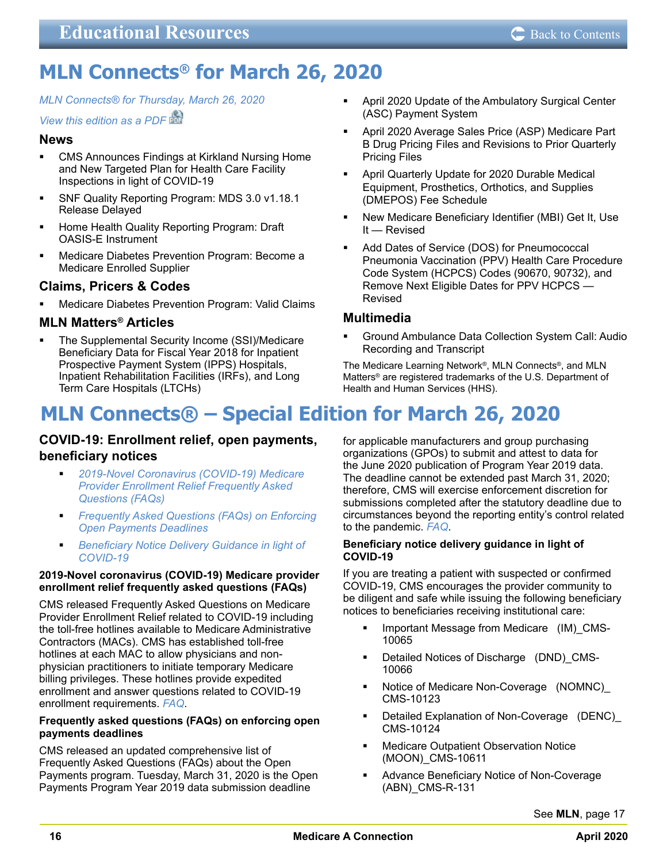## <span id="page-15-0"></span>**MLN Connects® for March 26, 2020**

*MLN Connects® [for Thursday, March 26, 2020](https://www.cms.gov/outreach-and-educationoutreachffsprovpartprogprovider-partnership-email-archive/2020-03-26-mlnc)*

## *[View this edition as a PDF](https://www.cms.gov/files/document/2020-03-26-mlnc.pdf)*

## **News**

- CMS Announces Findings at Kirkland Nursing Home and New Targeted Plan for Health Care Facility Inspections in light of COVID-19
- **SNF Quality Reporting Program: MDS 3.0 v1.18.1** Release Delayed
- Home Health Quality Reporting Program: Draft OASIS-E Instrument
- Medicare Diabetes Prevention Program: Become a Medicare Enrolled Supplier

## **Claims, Pricers & Codes**

 Medicare Diabetes Prevention Program: Valid Claims

## **MLN Matters® Articles**

 The Supplemental Security Income (SSI)/Medicare Beneficiary Data for Fiscal Year 2018 for Inpatient Prospective Payment System (IPPS) Hospitals, Inpatient Rehabilitation Facilities (IRFs), and Long Term Care Hospitals (LTCHs)

- April 2020 Update of the Ambulatory Surgical Center (ASC) Payment System
- April 2020 Average Sales Price (ASP) Medicare Part B Drug Pricing Files and Revisions to Prior Quarterly Pricing Files
- April Quarterly Update for 2020 Durable Medical Equipment, Prosthetics, Orthotics, and Supplies (DMEPOS) Fee Schedule
- New Medicare Beneficiary Identifier (MBI) Get It, Use It — Revised
- Add Dates of Service (DOS) for Pneumococcal Pneumonia Vaccination (PPV) Health Care Procedure Code System (HCPCS) Codes (90670, 90732), and Remove Next Eligible Dates for PPV HCPCS — Revised

## **Multimedia**

 Ground Ambulance Data Collection System Call: Audio Recording and Transcript

The Medicare Learning Network®, MLN Connects®, and MLN Matters® are registered trademarks of the U.S. Department of Health and Human Services (HHS).

## **MLN Connects® – Special Edition for March 26, 2020**

## **COVID-19: Enrollment relief, open payments, beneficiary notices**

- *2019-Novel Coronavirus (COVID-19) Medicare Provider Enrollment Relief Frequently Asked Questions (FAQs)*
- *Frequently Asked Questions (FAQs) on Enforcing Open Payments Deadlines*
- *Beneficiary Notice Delivery Guidance in light of COVID-19*

## **2019-Novel coronavirus (COVID-19) Medicare provider enrollment relief frequently asked questions (FAQs)**

CMS released Frequently Asked Questions on Medicare Provider Enrollment Relief related to COVID-19 including the toll-free hotlines available to Medicare Administrative Contractors (MACs). CMS has established toll-free hotlines at each MAC to allow physicians and nonphysician practitioners to initiate temporary Medicare billing privileges. These hotlines provide expedited enrollment and answer questions related to COVID-19 enrollment requirements. *[FAQ](https://www.cms.gov/files/document/provider-enrollment-relief-faqs-covid-19.pdf)*.

### **Frequently asked questions (FAQs) on enforcing open payments deadlines**

CMS released an updated comprehensive list of Frequently Asked Questions (FAQs) about the Open Payments program. Tuesday, March 31, 2020 is the Open Payments Program Year 2019 data submission deadline

for applicable manufacturers and group purchasing organizations (GPOs) to submit and attest to data for the June 2020 publication of Program Year 2019 data. The deadline cannot be extended past March 31, 2020; therefore, CMS will exercise enforcement discretion for submissions completed after the statutory deadline due to circumstances beyond the reporting entity's control related to the pandemic. *[FAQ](https://www.cms.gov/OpenPayments/Downloads/open-payments-general-faq.pdf)*.

### **Beneficiary notice delivery guidance in light of COVID-19**

If you are treating a patient with suspected or confirmed COVID-19, CMS encourages the provider community to be diligent and safe while issuing the following beneficiary notices to beneficiaries receiving institutional care:

- Important Message from Medicare (IM)\_CMS-10065
- Detailed Notices of Discharge (DND)\_CMS-10066
- Notice of Medicare Non-Coverage (NOMNC)\_ CMS-10123
- Detailed Explanation of Non-Coverage (DENC)\_ CMS-10124
- Medicare Outpatient Observation Notice (MOON)\_CMS-10611
- Advance Beneficiary Notice of Non-Coverage (ABN)\_CMS-R-131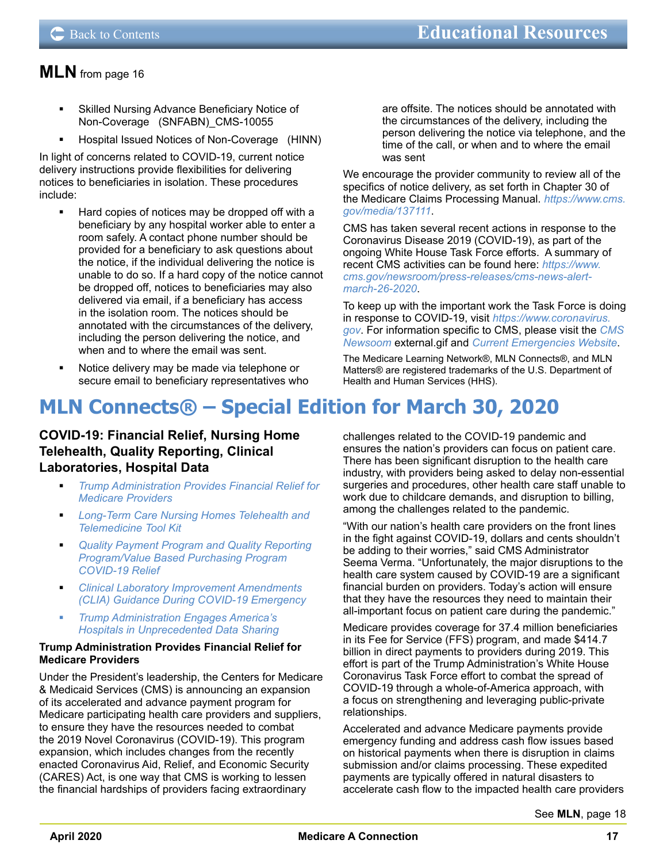- <span id="page-16-0"></span> Skilled Nursing Advance Beneficiary Notice of Non-Coverage (SNFABN)\_CMS-10055
- Hospital Issued Notices of Non-Coverage (HINN)

In light of concerns related to COVID-19, current notice delivery instructions provide flexibilities for delivering notices to beneficiaries in isolation. These procedures include:

- Hard copies of notices may be dropped off with a beneficiary by any hospital worker able to enter a room safely. A contact phone number should be provided for a beneficiary to ask questions about the notice, if the individual delivering the notice is unable to do so. If a hard copy of the notice cannot be dropped off, notices to beneficiaries may also delivered via email, if a beneficiary has access in the isolation room. The notices should be annotated with the circumstances of the delivery, including the person delivering the notice, and when and to where the email was sent.
- Notice delivery may be made via telephone or secure email to beneficiary representatives who

are offsite. The notices should be annotated with the circumstances of the delivery, including the person delivering the notice via telephone, and the time of the call, or when and to where the email was sent

We encourage the provider community to review all of the specifics of notice delivery, as set forth in Chapter 30 of the Medicare Claims Processing Manual. *[https://www.cms.](https://www.cms.gov/media/137111) [gov/media/137111](https://www.cms.gov/media/137111)*.

CMS has taken several recent actions in response to the Coronavirus Disease 2019 (COVID-19), as part of the ongoing White House Task Force efforts. A summary of recent CMS activities can be found here: *[https://www.](https://www.cms.gov/newsroom/press-releases/cms-news-alert-march-26-2020) [cms.gov/newsroom/press-releases/cms-news-alert](https://www.cms.gov/newsroom/press-releases/cms-news-alert-march-26-2020)[march-26-2020](https://www.cms.gov/newsroom/press-releases/cms-news-alert-march-26-2020)*.

To keep up with the important work the Task Force is doing in response to COVID-19, visit *[https://www.coronavirus.](https://www.cdc.gov/coronavirus/2019-ncov/index.html) [gov](https://www.cdc.gov/coronavirus/2019-ncov/index.html)*. For information specific to CMS, please visit the *[CMS](https://www.cms.gov/newsroom)  [Newsoom](https://www.cms.gov/newsroom)* external.gif and *[Current Emergencies Website](https://www.cms.gov/About-CMS/Agency-Information/Emergency/EPRO/Current-Emergencies/Current-Emergencies-page)*.

The Medicare Learning Network®, MLN Connects®, and MLN Matters® are registered trademarks of the U.S. Department of Health and Human Services (HHS).

## **MLN Connects® – Special Edition for March 30, 2020**

## **COVID-19: Financial Relief, Nursing Home Telehealth, Quality Reporting, Clinical Laboratories, Hospital Data**

- *Trump Administration Provides Financial Relief for Medicare Providers*
- *Long-Term Care Nursing Homes Telehealth and Telemedicine Tool Kit*
- *Quality Payment Program and Quality Reporting Program/Value Based Purchasing Program COVID-19 Relief*
- *Clinical Laboratory Improvement Amendments (CLIA) Guidance During COVID-19 Emergency*
- *Trump Administration Engages America's Hospitals in Unprecedented Data Sharing*

### **Trump Administration Provides Financial Relief for Medicare Providers**

Under the President's leadership, the Centers for Medicare & Medicaid Services (CMS) is announcing an expansion of its accelerated and advance payment program for Medicare participating health care providers and suppliers, to ensure they have the resources needed to combat the 2019 Novel Coronavirus (COVID-19). This program expansion, which includes changes from the recently enacted Coronavirus Aid, Relief, and Economic Security (CARES) Act, is one way that CMS is working to lessen the financial hardships of providers facing extraordinary

challenges related to the COVID-19 pandemic and ensures the nation's providers can focus on patient care. There has been significant disruption to the health care industry, with providers being asked to delay non-essential surgeries and procedures, other health care staff unable to work due to childcare demands, and disruption to billing, among the challenges related to the pandemic.

"With our nation's health care providers on the front lines in the fight against COVID-19, dollars and cents shouldn't be adding to their worries," said CMS Administrator Seema Verma. "Unfortunately, the major disruptions to the health care system caused by COVID-19 are a significant financial burden on providers. Today's action will ensure that they have the resources they need to maintain their all-important focus on patient care during the pandemic."

Medicare provides coverage for 37.4 million beneficiaries in its Fee for Service (FFS) program, and made \$414.7 billion in direct payments to providers during 2019. This effort is part of the Trump Administration's White House Coronavirus Task Force effort to combat the spread of COVID-19 through a whole-of-America approach, with a focus on strengthening and leveraging public-private relationships.

Accelerated and advance Medicare payments provide emergency funding and address cash flow issues based on historical payments when there is disruption in claims submission and/or claims processing. These expedited payments are typically offered in natural disasters to accelerate cash flow to the impacted health care providers

See **MLN**[, page 18](#page-17-0)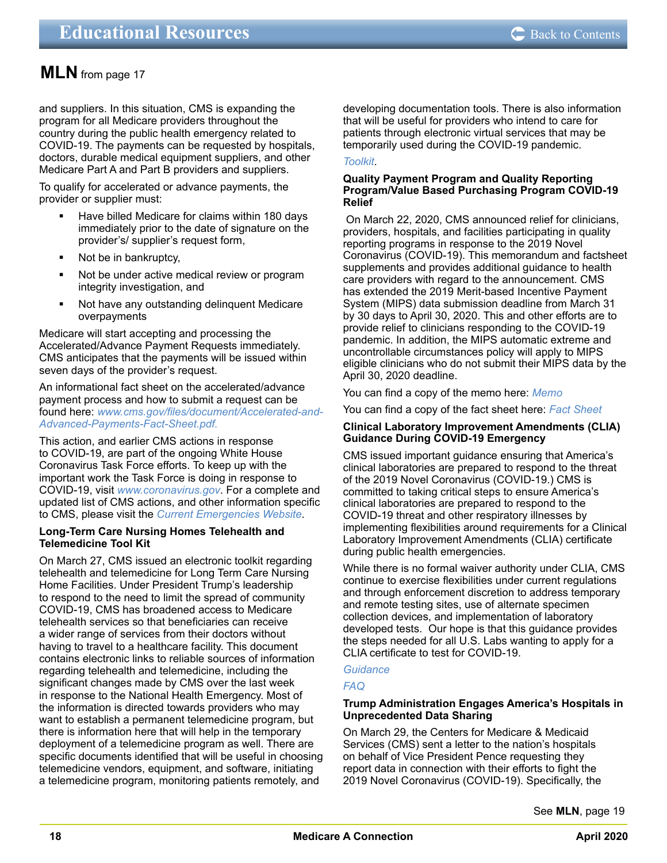<span id="page-17-0"></span>and suppliers. In this situation, CMS is expanding the program for all Medicare providers throughout the country during the public health emergency related to COVID-19. The payments can be requested by hospitals, doctors, durable medical equipment suppliers, and other Medicare Part A and Part B providers and suppliers.

To qualify for accelerated or advance payments, the provider or supplier must:

- Have billed Medicare for claims within 180 days immediately prior to the date of signature on the provider's/ supplier's request form,
- Not be in bankruptcy,
- Not be under active medical review or program integrity investigation, and
- Not have any outstanding delinquent Medicare overpayments

Medicare will start accepting and processing the Accelerated/Advance Payment Requests immediately. CMS anticipates that the payments will be issued within seven days of the provider's request.

An informational fact sheet on the accelerated/advance payment process and how to submit a request can be found here: *[www.cms.gov/files/document/Accelerated-and-](https://www.cms.gov/files/document/Accelerated-and-Advanced-Payments-Fact-Sheet.pdf)[Advanced-Payments-Fact-Sheet.pdf](https://www.cms.gov/files/document/Accelerated-and-Advanced-Payments-Fact-Sheet.pdf).*

This action, and earlier CMS actions in response to COVID-19, are part of the ongoing White House Coronavirus Task Force efforts. To keep up with the important work the Task Force is doing in response to COVID-19, visit *[www.coronavirus.gov](https://www.coronavirus.gov/)*. For a complete and updated list of CMS actions, and other information specific to CMS, please visit the *[Current Emergencies Website](https://www.cms.gov/About-CMS/Agency-Information/Emergency/EPRO/Current-Emergencies/Current-Emergencies-page)*.

## **Long-Term Care Nursing Homes Telehealth and Telemedicine Tool Kit**

On March 27, CMS issued an electronic toolkit regarding telehealth and telemedicine for Long Term Care Nursing Home Facilities. Under President Trump's leadership to respond to the need to limit the spread of community COVID-19, CMS has broadened access to Medicare telehealth services so that beneficiaries can receive a wider range of services from their doctors without having to travel to a healthcare facility. This document contains electronic links to reliable sources of information regarding telehealth and telemedicine, including the significant changes made by CMS over the last week in response to the National Health Emergency. Most of the information is directed towards providers who may want to establish a permanent telemedicine program, but there is information here that will help in the temporary deployment of a telemedicine program as well. There are specific documents identified that will be useful in choosing telemedicine vendors, equipment, and software, initiating a telemedicine program, monitoring patients remotely, and

developing documentation tools. There is also information that will be useful for providers who intend to care for patients through electronic virtual services that may be temporarily used during the COVID-19 pandemic.

### *[Toolkit](https://www.cms.gov/files/document/covid-19-nursing-home-telehealth-toolkit.pdf)*.

## **Quality Payment Program and Quality Reporting Program/Value Based Purchasing Program COVID-19 Relief**

 On March 22, 2020, CMS announced relief for clinicians, providers, hospitals, and facilities participating in quality reporting programs in response to the 2019 Novel Coronavirus (COVID-19). This memorandum and factsheet supplements and provides additional guidance to health care providers with regard to the announcement. CMS has extended the 2019 Merit-based Incentive Payment System (MIPS) data submission deadline from March 31 by 30 days to April 30, 2020. This and other efforts are to provide relief to clinicians responding to the COVID-19 pandemic. In addition, the MIPS automatic extreme and uncontrollable circumstances policy will apply to MIPS eligible clinicians who do not submit their MIPS data by the April 30, 2020 deadline.

You can find a copy of the memo here: *[Memo](https://www.cms.gov/files/document/guidance-memo-exceptions-and-extensions-quality-reporting-and-value-based-purchasing-programs.pdf)*

You can find a copy of the fact sheet here: *[Fact Sheet](https://qpp-cm-prod-content.s3.amazonaws.com/uploads/966/QPP COVID-19 Response Fact Sheet.pdf)*

### **Clinical Laboratory Improvement Amendments (CLIA) Guidance During COVID-19 Emergency**

CMS issued important guidance ensuring that America's clinical laboratories are prepared to respond to the threat of the 2019 Novel Coronavirus (COVID-19.) CMS is committed to taking critical steps to ensure America's clinical laboratories are prepared to respond to the COVID-19 threat and other respiratory illnesses by implementing flexibilities around requirements for a Clinical Laboratory Improvement Amendments (CLIA) certificate during public health emergencies.

While there is no formal waiver authority under CLIA, CMS continue to exercise flexibilities under current regulations and through enforcement discretion to address temporary and remote testing sites, use of alternate specimen collection devices, and implementation of laboratory developed tests. Our hope is that this guidance provides the steps needed for all U.S. Labs wanting to apply for a CLIA certificate to test for COVID-19.

## *[Guidance](https://www.cms.gov/medicareprovider-enrollment-and-certificationsurveycertificationgeninfopolicy-and-memos-states-and/clinical-laboratory-improvement-amendments-clia-laboratory-guidance-during-covid-19-public-health)*

## *[FAQ](https://www.cms.gov/files/document/clia-laboratory-covid-19-emergency-frequently-asked-questions.pdf)*

## **[Trump Administration Engages America's Hospitals in](file:///J:/MEPS/Publications/ARCHIVES-PART-A-BULLETINS/Archived%20bulletins/2020%20Bulletins/04_April_A/Source%20Files/EDU/#gd_top)  [Unprecedented Data Sharing](file:///J:/MEPS/Publications/ARCHIVES-PART-A-BULLETINS/Archived%20bulletins/2020%20Bulletins/04_April_A/Source%20Files/EDU/#gd_top)**

On March 29, the Centers for Medicare & Medicaid Services (CMS) sent a letter to the nation's hospitals on behalf of Vice President Pence requesting they report data in connection with their efforts to fight the 2019 Novel Coronavirus (COVID-19). Specifically, the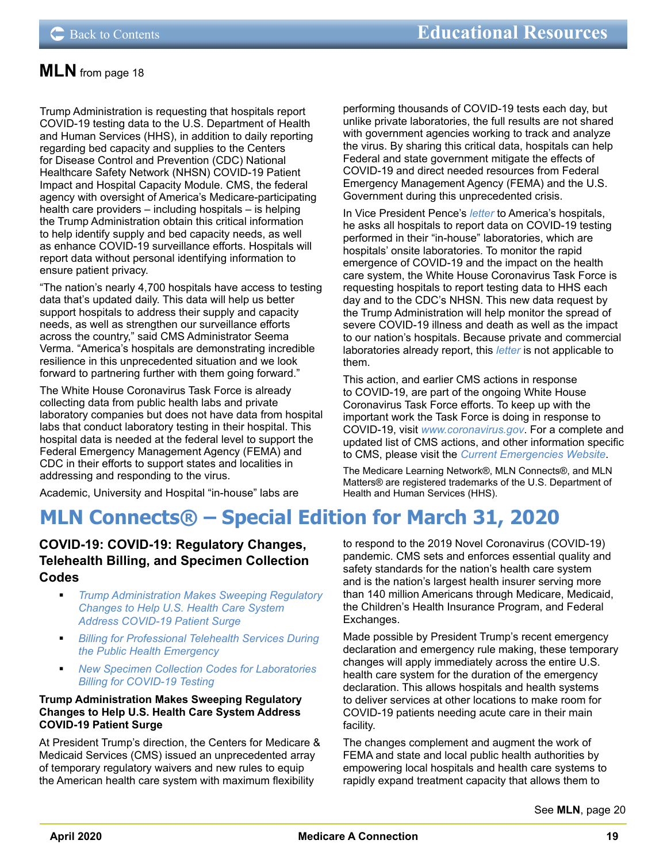<span id="page-18-0"></span>Trump Administration is requesting that hospitals report COVID-19 testing data to the U.S. Department of Health and Human Services (HHS), in addition to daily reporting regarding bed capacity and supplies to the Centers for Disease Control and Prevention (CDC) National Healthcare Safety Network (NHSN) COVID-19 Patient Impact and Hospital Capacity Module. CMS, the federal agency with oversight of America's Medicare-participating health care providers – including hospitals – is helping the Trump Administration obtain this critical information to help identify supply and bed capacity needs, as well as enhance COVID-19 surveillance efforts. Hospitals will report data without personal identifying information to ensure patient privacy.

"The nation's nearly 4,700 hospitals have access to testing data that's updated daily. This data will help us better support hospitals to address their supply and capacity needs, as well as strengthen our surveillance efforts across the country," said CMS Administrator Seema Verma. "America's hospitals are demonstrating incredible resilience in this unprecedented situation and we look forward to partnering further with them going forward."

The White House Coronavirus Task Force is already collecting data from public health labs and private laboratory companies but does not have data from hospital labs that conduct laboratory testing in their hospital. This hospital data is needed at the federal level to support the Federal Emergency Management Agency (FEMA) and CDC in their efforts to support states and localities in addressing and responding to the virus.

Academic, University and Hospital "in-house" labs are

performing thousands of COVID-19 tests each day, but unlike private laboratories, the full results are not shared with government agencies working to track and analyze the virus. By sharing this critical data, hospitals can help Federal and state government mitigate the effects of COVID-19 and direct needed resources from Federal Emergency Management Agency (FEMA) and the U.S. Government during this unprecedented crisis.

In Vice President Pence's *[letter](https://lnks.gd/l/eyJhbGciOiJIUzI1NiJ9.eyJidWxsZXRpbl9saW5rX2lkIjoxMDgsInVyaSI6ImJwMjpjbGljayIsImJ1bGxldGluX2lkIjoiMjAyMDAzMzAuMTk0ODcyNjEiLCJ1cmwiOiJodHRwczovL3d3dy5jbXMuZ292L2ZpbGVzL2RvY3VtZW50LzMyOTIwLWhvc3BpdGFsLWxldHRlci12aWNlLXByZXNpZGVudC1wZW5jZS5wZGYifQ.9AVquj72_aNN7YMvNyAD80-yPZbTrxxqHzO1h8ahuu0/br/76788223363-l)* to America's hospitals, he asks all hospitals to report data on COVID-19 testing performed in their "in-house" laboratories, which are hospitals' onsite laboratories. To monitor the rapid emergence of COVID-19 and the impact on the health care system, the White House Coronavirus Task Force is requesting hospitals to report testing data to HHS each day and to the CDC's NHSN. This new data request by the Trump Administration will help monitor the spread of severe COVID-19 illness and death as well as the impact to our nation's hospitals. Because private and commercial laboratories already report, this *[letter](https://www.cms.gov/files/document/32920-hospital-letter-vice-president-pence.pdf)* is not applicable to them.

This action, and earlier CMS actions in response to COVID-19, are part of the ongoing White House Coronavirus Task Force efforts. To keep up with the important work the Task Force is doing in response to COVID-19, visit *[www.coronavirus.gov](https://www.coronavirus.gov/)*. For a complete and updated list of CMS actions, and other information specific to CMS, please visit the *[Current Emergencies Website](https://www.cms.gov/About-CMS/Agency-Information/Emergency/EPRO/Current-Emergencies/Current-Emergencies-page)*.

The Medicare Learning Network®, MLN Connects®, and MLN Matters® are registered trademarks of the U.S. Department of Health and Human Services (HHS).

## **MLN Connects® – Special Edition for March 31, 2020**

## **COVID-19: COVID-19: Regulatory Changes, Telehealth Billing, and Specimen Collection Codes**

- *Trump Administration Makes Sweeping Regulatory Changes to Help U.S. Health Care System Address COVID-19 Patient Surge*
- *Billing for Professional Telehealth Services During the Public Health Emergency*
- *New Specimen Collection Codes for Laboratories Billing for COVID-19 Testing*

## **Trump Administration Makes Sweeping Regulatory Changes to Help U.S. Health Care System Address COVID-19 Patient Surge**

At President Trump's direction, the Centers for Medicare & Medicaid Services (CMS) issued an unprecedented array of temporary regulatory waivers and new rules to equip the American health care system with maximum flexibility

to respond to the 2019 Novel Coronavirus (COVID-19) pandemic. CMS sets and enforces essential quality and safety standards for the nation's health care system and is the nation's largest health insurer serving more than 140 million Americans through Medicare, Medicaid, the Children's Health Insurance Program, and Federal Exchanges.

Made possible by President Trump's recent emergency declaration and emergency rule making, these temporary changes will apply immediately across the entire U.S. health care system for the duration of the emergency declaration. This allows hospitals and health systems to deliver services at other locations to make room for COVID-19 patients needing acute care in their main facility.

The changes complement and augment the work of FEMA and state and local public health authorities by empowering local hospitals and health care systems to rapidly expand treatment capacity that allows them to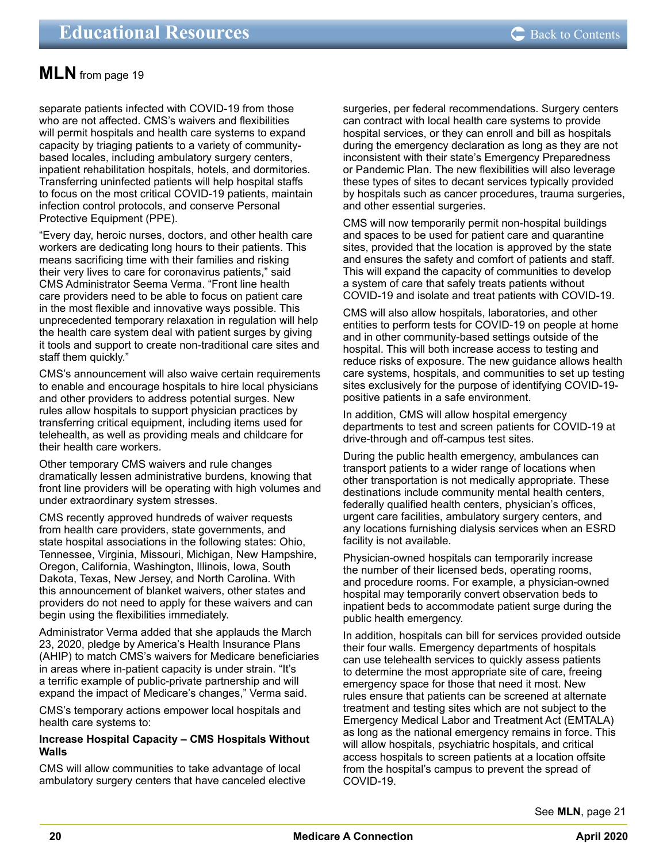<span id="page-19-0"></span>separate patients infected with COVID-19 from those who are not affected. CMS's waivers and flexibilities will permit hospitals and health care systems to expand capacity by triaging patients to a variety of communitybased locales, including ambulatory surgery centers, inpatient rehabilitation hospitals, hotels, and dormitories. Transferring uninfected patients will help hospital staffs to focus on the most critical COVID-19 patients, maintain infection control protocols, and conserve Personal Protective Equipment (PPE).

"Every day, heroic nurses, doctors, and other health care workers are dedicating long hours to their patients. This means sacrificing time with their families and risking their very lives to care for coronavirus patients," said CMS Administrator Seema Verma. "Front line health care providers need to be able to focus on patient care in the most flexible and innovative ways possible. This unprecedented temporary relaxation in regulation will help the health care system deal with patient surges by giving it tools and support to create non-traditional care sites and staff them quickly."

CMS's announcement will also waive certain requirements to enable and encourage hospitals to hire local physicians and other providers to address potential surges. New rules allow hospitals to support physician practices by transferring critical equipment, including items used for telehealth, as well as providing meals and childcare for their health care workers.

Other temporary CMS waivers and rule changes dramatically lessen administrative burdens, knowing that front line providers will be operating with high volumes and under extraordinary system stresses.

CMS recently approved hundreds of waiver requests from health care providers, state governments, and state hospital associations in the following states: Ohio, Tennessee, Virginia, Missouri, Michigan, New Hampshire, Oregon, California, Washington, Illinois, Iowa, South Dakota, Texas, New Jersey, and North Carolina. With this announcement of blanket waivers, other states and providers do not need to apply for these waivers and can begin using the flexibilities immediately.

Administrator Verma added that she applauds the March 23, 2020, pledge by America's Health Insurance Plans (AHIP) to match CMS's waivers for Medicare beneficiaries in areas where in-patient capacity is under strain. "It's a terrific example of public-private partnership and will expand the impact of Medicare's changes," Verma said.

CMS's temporary actions empower local hospitals and health care systems to:

#### **Increase Hospital Capacity – CMS Hospitals Without Walls**

CMS will allow communities to take advantage of local ambulatory surgery centers that have canceled elective surgeries, per federal recommendations. Surgery centers can contract with local health care systems to provide hospital services, or they can enroll and bill as hospitals during the emergency declaration as long as they are not inconsistent with their state's Emergency Preparedness or Pandemic Plan. The new flexibilities will also leverage these types of sites to decant services typically provided by hospitals such as cancer procedures, trauma surgeries, and other essential surgeries.

CMS will now temporarily permit non-hospital buildings and spaces to be used for patient care and quarantine sites, provided that the location is approved by the state and ensures the safety and comfort of patients and staff. This will expand the capacity of communities to develop a system of care that safely treats patients without COVID-19 and isolate and treat patients with COVID-19.

CMS will also allow hospitals, laboratories, and other entities to perform tests for COVID-19 on people at home and in other community-based settings outside of the hospital. This will both increase access to testing and reduce risks of exposure. The new guidance allows health care systems, hospitals, and communities to set up testing sites exclusively for the purpose of identifying COVID-19 positive patients in a safe environment.

In addition, CMS will allow hospital emergency departments to test and screen patients for COVID-19 at drive-through and off-campus test sites.

During the public health emergency, ambulances can transport patients to a wider range of locations when other transportation is not medically appropriate. These destinations include community mental health centers, federally qualified health centers, physician's offices, urgent care facilities, ambulatory surgery centers, and any locations furnishing dialysis services when an ESRD facility is not available.

Physician-owned hospitals can temporarily increase the number of their licensed beds, operating rooms, and procedure rooms. For example, a physician-owned hospital may temporarily convert observation beds to inpatient beds to accommodate patient surge during the public health emergency.

In addition, hospitals can bill for services provided outside their four walls. Emergency departments of hospitals can use telehealth services to quickly assess patients to determine the most appropriate site of care, freeing emergency space for those that need it most. New rules ensure that patients can be screened at alternate treatment and testing sites which are not subject to the Emergency Medical Labor and Treatment Act (EMTALA) as long as the national emergency remains in force. This will allow hospitals, psychiatric hospitals, and critical access hospitals to screen patients at a location offsite from the hospital's campus to prevent the spread of COVID-19.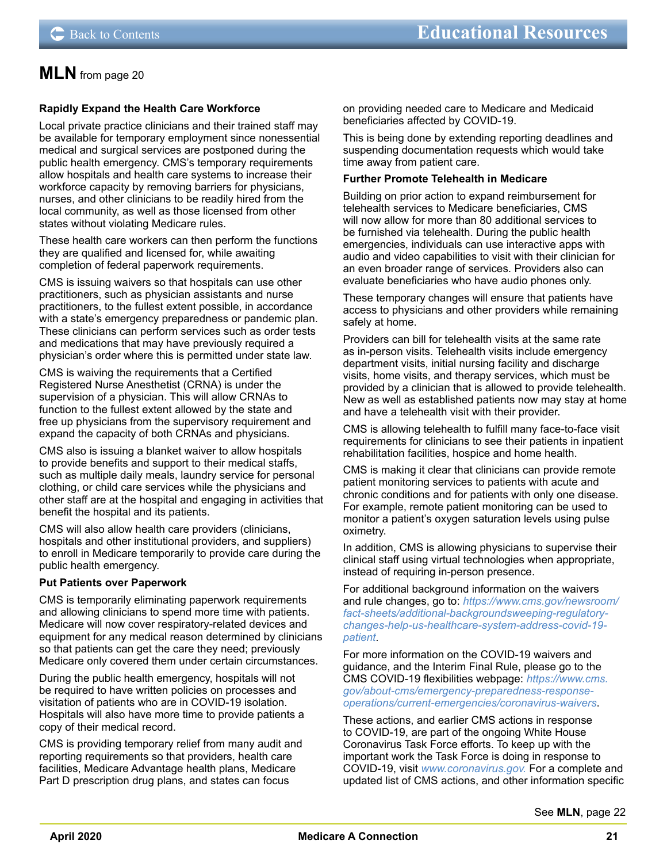## <span id="page-20-0"></span>**Rapidly Expand the Health Care Workforce**

Local private practice clinicians and their trained staff may be available for temporary employment since nonessential medical and surgical services are postponed during the public health emergency. CMS's temporary requirements allow hospitals and health care systems to increase their workforce capacity by removing barriers for physicians, nurses, and other clinicians to be readily hired from the local community, as well as those licensed from other states without violating Medicare rules.

These health care workers can then perform the functions they are qualified and licensed for, while awaiting completion of federal paperwork requirements.

CMS is issuing waivers so that hospitals can use other practitioners, such as physician assistants and nurse practitioners, to the fullest extent possible, in accordance with a state's emergency preparedness or pandemic plan. These clinicians can perform services such as order tests and medications that may have previously required a physician's order where this is permitted under state law.

CMS is waiving the requirements that a Certified Registered Nurse Anesthetist (CRNA) is under the supervision of a physician. This will allow CRNAs to function to the fullest extent allowed by the state and free up physicians from the supervisory requirement and expand the capacity of both CRNAs and physicians.

CMS also is issuing a blanket waiver to allow hospitals to provide benefits and support to their medical staffs, such as multiple daily meals, laundry service for personal clothing, or child care services while the physicians and other staff are at the hospital and engaging in activities that benefit the hospital and its patients.

CMS will also allow health care providers (clinicians, hospitals and other institutional providers, and suppliers) to enroll in Medicare temporarily to provide care during the public health emergency.

#### **Put Patients over Paperwork**

CMS is temporarily eliminating paperwork requirements and allowing clinicians to spend more time with patients. Medicare will now cover respiratory-related devices and equipment for any medical reason determined by clinicians so that patients can get the care they need; previously Medicare only covered them under certain circumstances.

During the public health emergency, hospitals will not be required to have written policies on processes and visitation of patients who are in COVID-19 isolation. Hospitals will also have more time to provide patients a copy of their medical record.

CMS is providing temporary relief from many audit and reporting requirements so that providers, health care facilities, Medicare Advantage health plans, Medicare Part D prescription drug plans, and states can focus

on providing needed care to Medicare and Medicaid beneficiaries affected by COVID-19.

This is being done by extending reporting deadlines and suspending documentation requests which would take time away from patient care.

#### **Further Promote Telehealth in Medicare**

Building on prior action to expand reimbursement for telehealth services to Medicare beneficiaries, CMS will now allow for more than 80 additional services to be furnished via telehealth. During the public health emergencies, individuals can use interactive apps with audio and video capabilities to visit with their clinician for an even broader range of services. Providers also can evaluate beneficiaries who have audio phones only.

These temporary changes will ensure that patients have access to physicians and other providers while remaining safely at home.

Providers can bill for telehealth visits at the same rate as in-person visits. Telehealth visits include emergency department visits, initial nursing facility and discharge visits, home visits, and therapy services, which must be provided by a clinician that is allowed to provide telehealth. New as well as established patients now may stay at home and have a telehealth visit with their provider.

CMS is allowing telehealth to fulfill many face-to-face visit requirements for clinicians to see their patients in inpatient rehabilitation facilities, hospice and home health.

CMS is making it clear that clinicians can provide remote patient monitoring services to patients with acute and chronic conditions and for patients with only one disease. For example, remote patient monitoring can be used to monitor a patient's oxygen saturation levels using pulse oximetry.

In addition, CMS is allowing physicians to supervise their clinical staff using virtual technologies when appropriate, instead of requiring in-person presence.

For additional background information on the waivers and rule changes, go to: *[https://www.cms.gov/newsroom/](https://www.cms.gov/newsroom/fact-sheets/additional-backgroundsweeping-regulatory-changes-help-us-healthcare-system-address-covid-19-patient) [fact-sheets/additional-backgroundsweeping-regulatory](https://www.cms.gov/newsroom/fact-sheets/additional-backgroundsweeping-regulatory-changes-help-us-healthcare-system-address-covid-19-patient)[changes-help-us-healthcare-system-address-covid-19](https://www.cms.gov/newsroom/fact-sheets/additional-backgroundsweeping-regulatory-changes-help-us-healthcare-system-address-covid-19-patient) [patient](https://www.cms.gov/newsroom/fact-sheets/additional-backgroundsweeping-regulatory-changes-help-us-healthcare-system-address-covid-19-patient)*.

For more information on the COVID-19 waivers and guidance, and the Interim Final Rule, please go to the CMS COVID-19 flexibilities webpage: *[https://www.cms.](https://www.cms.gov/about-cms/emergency-preparedness-response-operations/current-emergencies/coronavirus-waivers) [gov/about-cms/emergency-preparedness-response](https://www.cms.gov/about-cms/emergency-preparedness-response-operations/current-emergencies/coronavirus-waivers)[operations/current-emergencies/coronavirus-waivers](https://www.cms.gov/about-cms/emergency-preparedness-response-operations/current-emergencies/coronavirus-waivers)*.

These actions, and earlier CMS actions in response to COVID-19, are part of the ongoing White House Coronavirus Task Force efforts. To keep up with the important work the Task Force is doing in response to COVID-19, visit *[www.coronavirus.gov.](https://www.coronavirus.gov/)* For a complete and updated list of CMS actions, and other information specific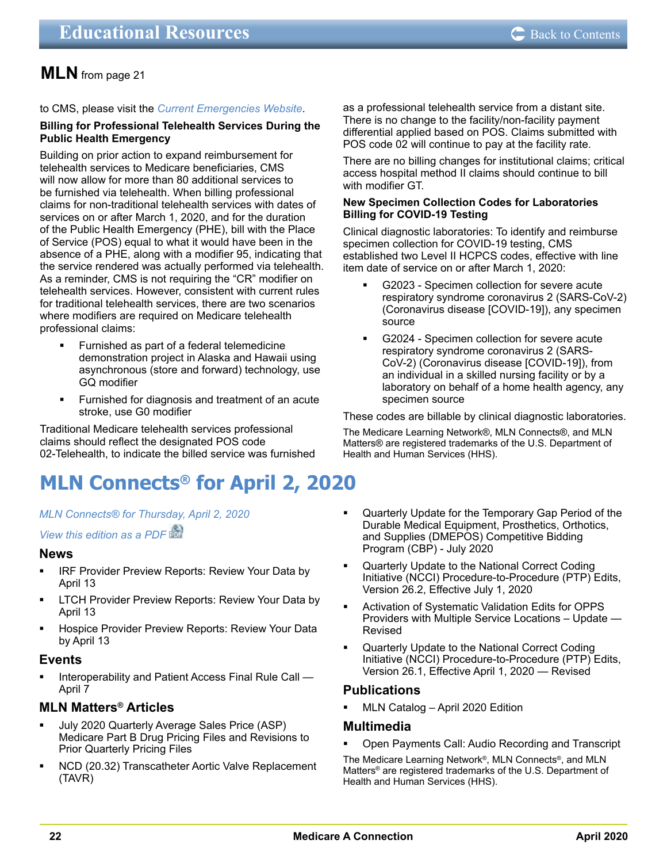#### <span id="page-21-0"></span>to CMS, please visit the *[Current Emergencies Website](https://www.cms.gov/About-CMS/Agency-Information/Emergency/EPRO/Current-Emergencies/Current-Emergencies-page)*.

#### **Billing for Professional Telehealth Services During the Public Health Emergency**

Building on prior action to expand reimbursement for telehealth services to Medicare beneficiaries, CMS will now allow for more than 80 additional services to be furnished via telehealth. When billing professional claims for non-traditional telehealth services with dates of services on or after March 1, 2020, and for the duration of the Public Health Emergency (PHE), bill with the Place of Service (POS) equal to what it would have been in the absence of a PHE, along with a modifier 95, indicating that the service rendered was actually performed via telehealth. As a reminder, CMS is not requiring the "CR" modifier on telehealth services. However, consistent with current rules for traditional telehealth services, there are two scenarios where modifiers are required on Medicare telehealth professional claims:

- Furnished as part of a federal telemedicine demonstration project in Alaska and Hawaii using asynchronous (store and forward) technology, use GQ modifier
- **Furnished for diagnosis and treatment of an acute** stroke, use G0 modifier

Traditional Medicare telehealth services professional claims should reflect the designated POS code 02-Telehealth, to indicate the billed service was furnished

## **MLN Connects® for April 2, 2020**

#### *[MLN Connects® for Thursday, April 2, 2020](https://www.cms.gov/outreach-and-educationoutreachffsprovpartprogprovider-partnership-email-archive/2020-04-02-mlnc)*

*[View this edition as a PDF](https://www.cms.gov/files/document/2020-04-02-mlnc.pdf)*

## **News**

- **IRF Provider Preview Reports: Review Your Data by** April 13
- **EXECT:** LTCH Provider Preview Reports: Review Your Data by April 13
- Hospice Provider Preview Reports: Review Your Data by April 13

## **Events**

 Interoperability and Patient Access Final Rule Call — April 7

## **MLN Matters® Articles**

- July 2020 Quarterly Average Sales Price (ASP) Medicare Part B Drug Pricing Files and Revisions to Prior Quarterly Pricing Files
- **NCD (20.32) Transcatheter Aortic Valve Replacement** (TAVR)

as a professional telehealth service from a distant site. There is no change to the facility/non-facility payment differential applied based on POS. Claims submitted with POS code 02 will continue to pay at the facility rate.

There are no billing changes for institutional claims; critical access hospital method II claims should continue to bill with modifier GT.

#### **New Specimen Collection Codes for Laboratories Billing for COVID-19 Testing**

Clinical diagnostic laboratories: To identify and reimburse specimen collection for COVID-19 testing, CMS established two Level II HCPCS codes, effective with line item date of service on or after March 1, 2020:

- G2023 Specimen collection for severe acute respiratory syndrome coronavirus 2 (SARS-CoV-2) (Coronavirus disease [COVID-19]), any specimen source
- G2024 Specimen collection for severe acute respiratory syndrome coronavirus 2 (SARS-CoV-2) (Coronavirus disease [COVID-19]), from an individual in a skilled nursing facility or by a laboratory on behalf of a home health agency, any specimen source

These codes are billable by clinical diagnostic laboratories.

The Medicare Learning Network®, MLN Connects®, and MLN Matters® are registered trademarks of the U.S. Department of Health and Human Services (HHS).

- Quarterly Update for the Temporary Gap Period of the Durable Medical Equipment, Prosthetics, Orthotics, and Supplies (DMEPOS) Competitive Bidding Program (CBP) - July 2020
- Quarterly Update to the National Correct Coding Initiative (NCCI) Procedure-to-Procedure (PTP) Edits, Version 26.2, Effective July 1, 2020
- Activation of Systematic Validation Edits for OPPS Providers with Multiple Service Locations – Update — Revised
- Quarterly Update to the National Correct Coding Initiative (NCCI) Procedure-to-Procedure (PTP) Edits, Version 26.1, Effective April 1, 2020 — Revised

## **Publications**

 MLN Catalog – April 2020 Edition

## **Multimedia**

 Open Payments Call: Audio Recording and Transcript

The Medicare Learning Network®, MLN Connects®, and MLN Matters® are registered trademarks of the U.S. Department of Health and Human Services (HHS).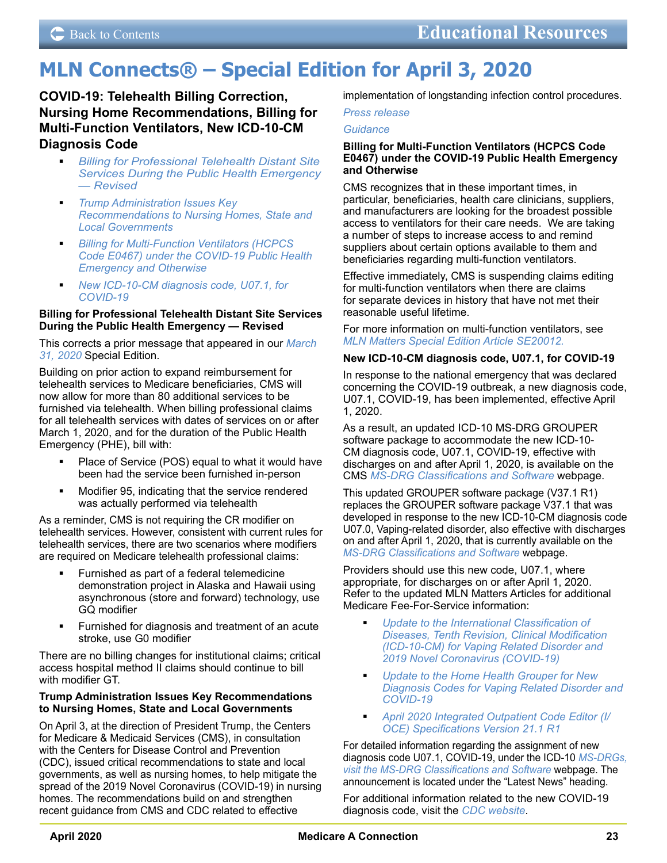## <span id="page-22-0"></span>**MLN Connects® – Special Edition for April 3, 2020**

## **COVID-19: Telehealth Billing Correction, Nursing Home Recommendations, Billing for Multi-Function Ventilators, New ICD-10-CM Diagnosis Code**

- *Billing for Professional Telehealth Distant Site Services During the Public Health Emergency — Revised*
- *Trump Administration Issues Key Recommendations to Nursing Homes, State and Local Governments*
- *Billing for Multi-Function Ventilators (HCPCS Code E0467) under the COVID-19 Public Health Emergency and Otherwise*
- *New ICD-10-CM diagnosis code, U07.1, for COVID-19*

### **Billing for Professional Telehealth Distant Site Services During the Public Health Emergency — Revised**

This corrects a prior message that appeared in our *[March](https://www.cms.gov/outreach-and-educationoutreachffsprovpartprogprovider-partnership-email-archive/2020-03-31-mlnc-se)  [31, 2020](https://www.cms.gov/outreach-and-educationoutreachffsprovpartprogprovider-partnership-email-archive/2020-03-31-mlnc-se)* Special Edition.

Building on prior action to expand reimbursement for telehealth services to Medicare beneficiaries, CMS will now allow for more than 80 additional services to be furnished via telehealth. When billing professional claims for all telehealth services with dates of services on or after March 1, 2020, and for the duration of the Public Health Emergency (PHE), bill with:

- Place of Service (POS) equal to what it would have been had the service been furnished in-person
- Modifier 95, indicating that the service rendered was actually performed via telehealth

As a reminder, CMS is not requiring the CR modifier on telehealth services. However, consistent with current rules for telehealth services, there are two scenarios where modifiers are required on Medicare telehealth professional claims:

- Furnished as part of a federal telemedicine demonstration project in Alaska and Hawaii using asynchronous (store and forward) technology, use GQ modifier
- Furnished for diagnosis and treatment of an acute stroke, use G0 modifier

There are no billing changes for institutional claims; critical access hospital method II claims should continue to bill with modifier GT.

### **Trump Administration Issues Key Recommendations to Nursing Homes, State and Local Governments**

On April 3, at the direction of President Trump, the Centers for Medicare & Medicaid Services (CMS), in consultation with the Centers for Disease Control and Prevention (CDC), issued critical recommendations to state and local governments, as well as nursing homes, to help mitigate the spread of the 2019 Novel Coronavirus (COVID-19) in nursing homes. The recommendations build on and strengthen recent guidance from CMS and CDC related to effective

implementation of longstanding infection control procedures.

*[Press release](https://www.cms.gov/newsroom/press-releases/trump-administration-issues-key-recommendations-nursing-homes-state-and-local-governments)*

#### *[Guidance](https://www.cms.gov/files/document/4220-covid-19-long-term-care-facility-guidance.pdf)*

#### **Billing for Multi-Function Ventilators (HCPCS Code E0467) under the COVID-19 Public Health Emergency and Otherwise**

CMS recognizes that in these important times, in particular, beneficiaries, health care clinicians, suppliers, and manufacturers are looking for the broadest possible access to ventilators for their care needs. We are taking a number of steps to increase access to and remind suppliers about certain options available to them and beneficiaries regarding multi-function ventilators.

Effective immediately, CMS is suspending claims editing for multi-function ventilators when there are claims for separate devices in history that have not met their reasonable useful lifetime.

For more information on multi-function ventilators, see *[MLN Matters Special Edition Article SE20012.](https://www.cms.gov/files/document/se20012.pdf)*

## **New ICD-10-CM diagnosis code, U07.1, for COVID-19**

In response to the national emergency that was declared concerning the COVID-19 outbreak, a new diagnosis code, U07.1, COVID-19, has been implemented, effective April 1, 2020.

As a result, an updated ICD-10 MS-DRG GROUPER software package to accommodate the new ICD-10- CM diagnosis code, U07.1, COVID-19, effective with discharges on and after April 1, 2020, is available on the CMS *[MS-DRG Classifications and Software](https://www.cms.gov/Medicare/Medicare-Fee-for-Service-Payment/AcuteInpatientPPS/MS-DRG-Classifications-and-Software)* webpage.

This updated GROUPER software package (V37.1 R1) replaces the GROUPER software package V37.1 that was developed in response to the new ICD-10-CM diagnosis code U07.0, Vaping-related disorder, also effective with discharges on and after April 1, 2020, that is currently available on the *[MS-DRG Classifications and Software](https://www.cms.gov/Medicare/Medicare-Fee-for-Service-Payment/AcuteInpatientPPS/MS-DRG-Classifications-and-Software)* webpage.

Providers should use this new code, U07.1, where appropriate, for discharges on or after April 1, 2020. Refer to the updated MLN Matters Articles for additional Medicare Fee-For-Service information:

- *[Update to the International Classification of](https://www.cms.gov/files/document/mm11623.pdf)  [Diseases, Tenth Revision, Clinical Modification](https://www.cms.gov/files/document/mm11623.pdf)  [\(ICD-10-CM\) for Vaping Related Disorder and](https://www.cms.gov/files/document/mm11623.pdf)  [2019 Novel Coronavirus \(COVID-19\)](https://www.cms.gov/files/document/mm11623.pdf)*
- *[Update to the Home Health Grouper for New](https://www.cms.gov/files/document/mm11656.pdf)  [Diagnosis Codes for Vaping Related Disorder and](https://www.cms.gov/files/document/mm11656.pdf)  [COVID-19](https://www.cms.gov/files/document/mm11656.pdf)*
- *[April 2020 Integrated Outpatient Code Editor \(I/](https://www.cms.gov/files/document/mm11680.pdf) [OCE\) Specifications Version 21.1 R1](https://www.cms.gov/files/document/mm11680.pdf)*

For detailed information regarding the assignment of new diagnosis code U07.1, COVID-19, under the ICD-10 *[MS-DRGs,](https://www.cms.gov/Medicare/Medicare-Fee-for-Service-Payment/AcuteInpatientPPS/MS-DRG-Classifications-and-Software) [visit the MS-DRG Classifications and Software](https://www.cms.gov/Medicare/Medicare-Fee-for-Service-Payment/AcuteInpatientPPS/MS-DRG-Classifications-and-Software)* webpage. The announcement is located under the "Latest News" heading.

For additional information related to the new COVID-19 diagnosis code, visit the *[CDC website](https://www.cdc.gov/nchs/icd/icd10cm.htm)*.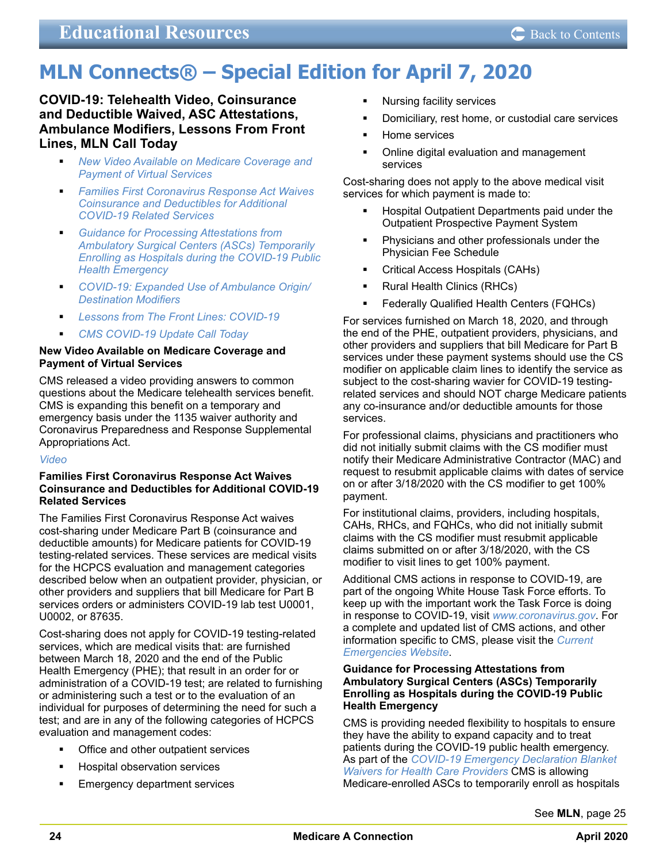## <span id="page-23-0"></span>**MLN Connects® – Special Edition for April 7, 2020**

**COVID-19: Telehealth Video, Coinsurance and Deductible Waived, ASC Attestations, Ambulance Modifiers, Lessons From Front Lines, MLN Call Today**

- *New Video Available on Medicare Coverage and Payment of Virtual Services*
- *Families First Coronavirus Response Act Waives Coinsurance and Deductibles for Additional COVID-19 Related Services*
- *Guidance for Processing Attestations from Ambulatory Surgical Centers (ASCs) Temporarily Enrolling as Hospitals during the COVID-19 Public Health Emergency*
- *COVID-19: Expanded Use of Ambulance Origin/ Destination Modifiers*
- *Lessons from The Front Lines: COVID-19*
- *CMS COVID-19 Update Call Today*

#### **New Video Available on Medicare Coverage and Payment of Virtual Services**

CMS released a video providing answers to common questions about the Medicare telehealth services benefit. CMS is expanding this benefit on a temporary and emergency basis under the 1135 waiver authority and Coronavirus Preparedness and Response Supplemental Appropriations Act.

#### *[Video](https://www.youtube.com/watch?v=bdb9NKtybzo&feature=youtu.be)*

#### **Families First Coronavirus Response Act Waives Coinsurance and Deductibles for Additional COVID-19 Related Services**

The Families First Coronavirus Response Act waives cost-sharing under Medicare Part B (coinsurance and deductible amounts) for Medicare patients for COVID-19 testing-related services. These services are medical visits for the HCPCS evaluation and management categories described below when an outpatient provider, physician, or other providers and suppliers that bill Medicare for Part B services orders or administers COVID-19 lab test U0001, U0002, or 87635.

Cost-sharing does not apply for COVID-19 testing-related services, which are medical visits that: are furnished between March 18, 2020 and the end of the Public Health Emergency (PHE); that result in an order for or administration of a COVID-19 test; are related to furnishing or administering such a test or to the evaluation of an individual for purposes of determining the need for such a test; and are in any of the following categories of HCPCS evaluation and management codes:

- Office and other outpatient services
- Hospital observation services
- Emergency department services
- Nursing facility services
- Domiciliary, rest home, or custodial care services
- Home services
- Online digital evaluation and management services

Cost-sharing does not apply to the above medical visit services for which payment is made to:

- Hospital Outpatient Departments paid under the Outpatient Prospective Payment System
- Physicians and other professionals under the Physician Fee Schedule
- Critical Access Hospitals (CAHs)
- Rural Health Clinics (RHCs)
- Federally Qualified Health Centers (FQHCs)

For services furnished on March 18, 2020, and through the end of the PHE, outpatient providers, physicians, and other providers and suppliers that bill Medicare for Part B services under these payment systems should use the CS modifier on applicable claim lines to identify the service as subject to the cost-sharing wavier for COVID-19 testingrelated services and should NOT charge Medicare patients any co-insurance and/or deductible amounts for those services.

For professional claims, physicians and practitioners who did not initially submit claims with the CS modifier must notify their Medicare Administrative Contractor (MAC) and request to resubmit applicable claims with dates of service on or after 3/18/2020 with the CS modifier to get 100% payment.

For institutional claims, providers, including hospitals, CAHs, RHCs, and FQHCs, who did not initially submit claims with the CS modifier must resubmit applicable claims submitted on or after 3/18/2020, with the CS modifier to visit lines to get 100% payment.

Additional CMS actions in response to COVID-19, are part of the ongoing White House Task Force efforts. To keep up with the important work the Task Force is doing in response to COVID-19, visit *[www.coronavirus.gov](https://www.coronavirus.gov/)*. For a complete and updated list of CMS actions, and other information specific to CMS, please visit the *[Current](https://www.cms.gov/About-CMS/Agency-Information/Emergency/EPRO/Current-Emergencies/Current-Emergencies-page)  [Emergencies Website](https://www.cms.gov/About-CMS/Agency-Information/Emergency/EPRO/Current-Emergencies/Current-Emergencies-page)*.

#### **Guidance for Processing Attestations from Ambulatory Surgical Centers (ASCs) Temporarily Enrolling as Hospitals during the COVID-19 Public Health Emergency**

CMS is providing needed flexibility to hospitals to ensure they have the ability to expand capacity and to treat patients during the COVID-19 public health emergency. As part of the *[COVID-19 Emergency Declaration Blanket](https://www.cms.gov/files/document/summary-covid-19-emergency-declaration-waivers.pdf)  [Waivers for Health Care Providers](https://www.cms.gov/files/document/summary-covid-19-emergency-declaration-waivers.pdf)* CMS is allowing Medicare-enrolled ASCs to temporarily enroll as hospitals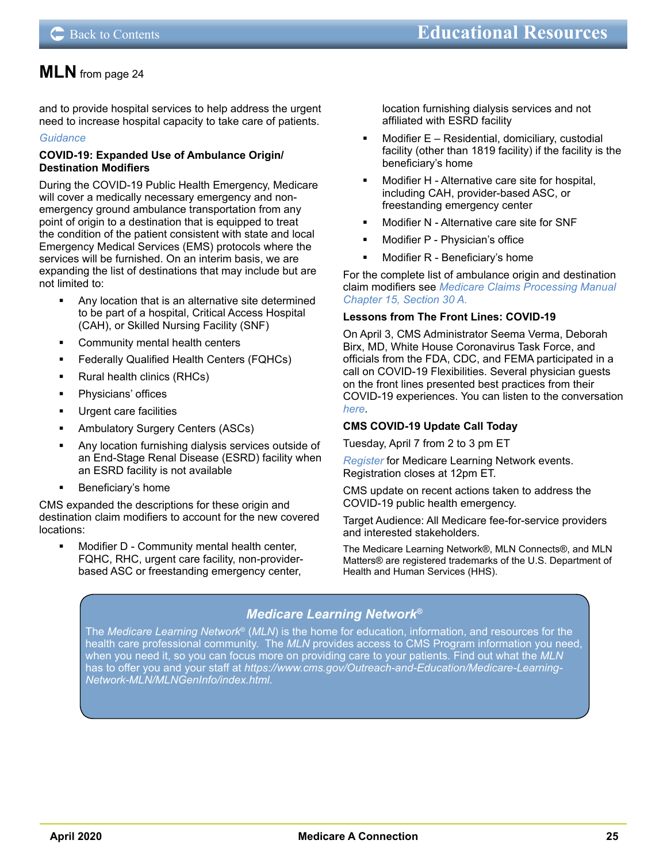<span id="page-24-0"></span>and to provide hospital services to help address the urgent need to increase hospital capacity to take care of patients.

## *[Guidance](https://www.cms.gov/medicareprovider-enrollment-and-certificationsurveycertificationgeninfopolicy-and-memos-states-and/guidance-processing-attestations-ambulatory-surgical-centers-ascs-temporarily-enrolling-hospitals)*

### **COVID-19: Expanded Use of Ambulance Origin/ Destination Modifiers**

During the COVID-19 Public Health Emergency, Medicare will cover a medically necessary emergency and nonemergency ground ambulance transportation from any point of origin to a destination that is equipped to treat the condition of the patient consistent with state and local Emergency Medical Services (EMS) protocols where the services will be furnished. On an interim basis, we are expanding the list of destinations that may include but are not limited to:

- Any location that is an alternative site determined to be part of a hospital, Critical Access Hospital (CAH), or Skilled Nursing Facility (SNF)
- Community mental health centers
- Federally Qualified Health Centers (FQHCs)
- Rural health clinics (RHCs)
- Physicians' offices
- Urgent care facilities
- Ambulatory Surgery Centers (ASCs)
- Any location furnishing dialysis services outside of an End-Stage Renal Disease (ESRD) facility when an ESRD facility is not available
- **Beneficiary's home**

CMS expanded the descriptions for these origin and destination claim modifiers to account for the new covered locations:

 Modifier D - Community mental health center, FQHC, RHC, urgent care facility, non-providerbased ASC or freestanding emergency center,

location furnishing dialysis services and not affiliated with ESRD facility

- Modifier E Residential, domiciliary, custodial facility (other than 1819 facility) if the facility is the beneficiary's home
- Modifier H Alternative care site for hospital, including CAH, provider-based ASC, or freestanding emergency center
- Modifier N Alternative care site for SNF
- Modifier P Physician's office
- Modifier R Beneficiary's home

For the complete list of ambulance origin and destination claim modifiers see *[Medicare Claims Processing Manual](https://www.cms.gov/Regulations-and-Guidance/Guidance/Manuals/Downloads/clm104c15.pdf)  [Chapter 15, Section 30 A](https://www.cms.gov/Regulations-and-Guidance/Guidance/Manuals/Downloads/clm104c15.pdf).*

## **Lessons from The Front Lines: COVID-19**

On April 3, CMS Administrator Seema Verma, Deborah Birx, MD, White House Coronavirus Task Force, and officials from the FDA, CDC, and FEMA participated in a call on COVID-19 Flexibilities. Several physician guests on the front lines presented best practices from their COVID-19 experiences. You can listen to the conversation *[here](https://www.cms.gov/files/audio/covid19lessonsfromthefrontline04032020.mp3)*.

## **CMS COVID-19 Update Call Today**

Tuesday, April 7 from 2 to 3 pm ET

*[Register](https://blh.ier.intercall.com/)* for Medicare Learning Network events. Registration closes at 12pm ET.

CMS update on recent actions taken to address the COVID-19 public health emergency.

Target Audience: All Medicare fee-for-service providers and interested stakeholders.

The Medicare Learning Network®, MLN Connects®, and MLN Matters® are registered trademarks of the U.S. Department of Health and Human Services (HHS).

## *Medicare Learning Network***®**

The *Medicare Learning Network*® (*MLN*) is the home for education, information, and resources for the health care professional community. The *MLN* provides access to CMS Program information you need, [when you need it, so you can focus more on providing care to your patients. Find out what the](https://medicare.fcso.com/pecos_news/191943.asp?wt.ac=enrollqc&wt.ad=homepage%20banner) *MLN* has to offer you and your staff at *https://www.cms.gov/Outreach-and-Education/Medicare-Learning-Network-MLN/MLNGenInfo/index.html*.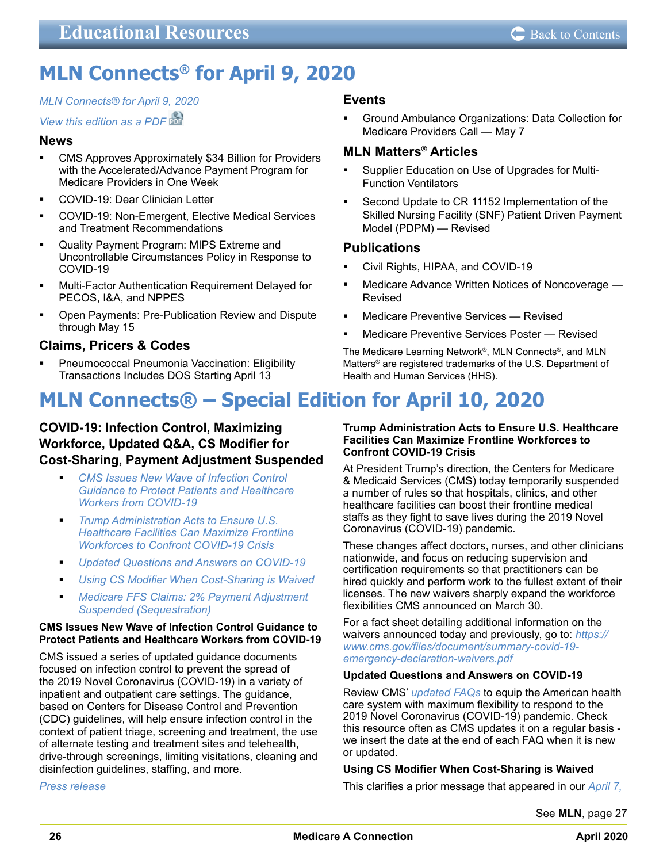## <span id="page-25-0"></span>**MLN Connects® for April 9, 2020**

## *[MLN Connects® for April 9, 2020](https://www.cms.gov/outreach-and-educationoutreachffsprovpartprogprovider-partnership-email-archive/2020-04-09-mlnc)*

## *[View this edition as a PDF](https://www.cms.gov/files/document/2020-04-09-mlnc.pdf)*

## **News**

- CMS Approves Approximately \$34 Billion for Providers with the Accelerated/Advance Payment Program for Medicare Providers in One Week
- COVID-19: Dear Clinician Letter
- COVID-19: Non-Emergent, Elective Medical Services and Treatment Recommendations
- Quality Payment Program: MIPS Extreme and Uncontrollable Circumstances Policy in Response to COVID-19
- Multi-Factor Authentication Requirement Delayed for PECOS, I&A, and NPPES
- Open Payments: Pre-Publication Review and Dispute through May 15

## **Claims, Pricers & Codes**

 Pneumococcal Pneumonia Vaccination: Eligibility Transactions Includes DOS Starting April 13

## **MLN Connects® – Special Edition for April 10, 2020**

## **COVID-19: Infection Control, Maximizing Workforce, Updated Q&A, CS Modifier for Cost-Sharing, Payment Adjustment Suspended**

- *CMS Issues New Wave of Infection Control Guidance to Protect Patients and Healthcare Workers from COVID-19*
- *Trump Administration Acts to Ensure U.S. Healthcare Facilities Can Maximize Frontline Workforces to Confront COVID-19 Crisis*
- *Updated Questions and Answers on COVID-19*
- *Using CS Modifier When Cost-Sharing is Waived*
- *Medicare FFS Claims: 2% Payment Adjustment Suspended (Sequestration)*

## **CMS Issues New Wave of Infection Control Guidance to Protect Patients and Healthcare Workers from COVID-19**

CMS issued a series of updated guidance documents focused on infection control to prevent the spread of the 2019 Novel Coronavirus (COVID-19) in a variety of inpatient and outpatient care settings. The guidance, based on Centers for Disease Control and Prevention (CDC) guidelines, will help ensure infection control in the context of patient triage, screening and treatment, the use of alternate testing and treatment sites and telehealth, drive-through screenings, limiting visitations, cleaning and disinfection guidelines, staffing, and more.

*[Press release](https://www.cms.gov/newsroom/press-releases/cms-issues-new-wave-infection-control-guidance-based-cdc-guidelines-protect-patients-and-healthcare)*

## **Events**

 Ground Ambulance Organizations: Data Collection for Medicare Providers Call — May 7

## **MLN Matters® Articles**

- Supplier Education on Use of Upgrades for Multi-Function Ventilators
- Second Update to CR 11152 Implementation of the Skilled Nursing Facility (SNF) Patient Driven Payment Model (PDPM) — Revised

## **Publications**

- Civil Rights, HIPAA, and COVID-19
- Medicare Advance Written Notices of Noncoverage Revised
- Medicare Preventive Services Revised
- Medicare Preventive Services Poster Revised

The Medicare Learning Network®, MLN Connects®, and MLN Matters® are registered trademarks of the U.S. Department of Health and Human Services (HHS).

#### **Trump Administration Acts to Ensure U.S. Healthcare Facilities Can Maximize Frontline Workforces to Confront COVID-19 Crisis**

At President Trump's direction, the Centers for Medicare & Medicaid Services (CMS) today temporarily suspended a number of rules so that hospitals, clinics, and other healthcare facilities can boost their frontline medical staffs as they fight to save lives during the 2019 Novel Coronavirus (COVID-19) pandemic.

These changes affect doctors, nurses, and other clinicians nationwide, and focus on reducing supervision and certification requirements so that practitioners can be hired quickly and perform work to the fullest extent of their licenses. The new waivers sharply expand the workforce flexibilities CMS announced on March 30.

For a fact sheet detailing additional information on the waivers announced today and previously, go to: *[https://](https://www.cms.gov/files/document/summary-covid-19-emergency-declaration-waivers.pdf) [www.cms.gov/files/document/summary-covid-19](https://www.cms.gov/files/document/summary-covid-19-emergency-declaration-waivers.pdf) [emergency-declaration-waivers.pdf](https://www.cms.gov/files/document/summary-covid-19-emergency-declaration-waivers.pdf)*

## **Updated Questions and Answers on COVID-19**

Review CMS' *[updated FAQs](https://www.cms.gov/files/document/03092020-covid-19-faqs-508.pdf)* to equip the American health care system with maximum flexibility to respond to the 2019 Novel Coronavirus (COVID-19) pandemic. Check this resource often as CMS updates it on a regular basis we insert the date at the end of each FAQ when it is new or updated.

## **Using CS Modifier When Cost-Sharing is Waived**

This clarifies a prior message that appeared in our *[April 7,](https://www.cms.gov/outreach-and-educationoutreachffsprovpartprogprovider-partnership-email-archive/2020-04-07-mlnc-se)* 

See **MLN**[, page 27](#page-26-0)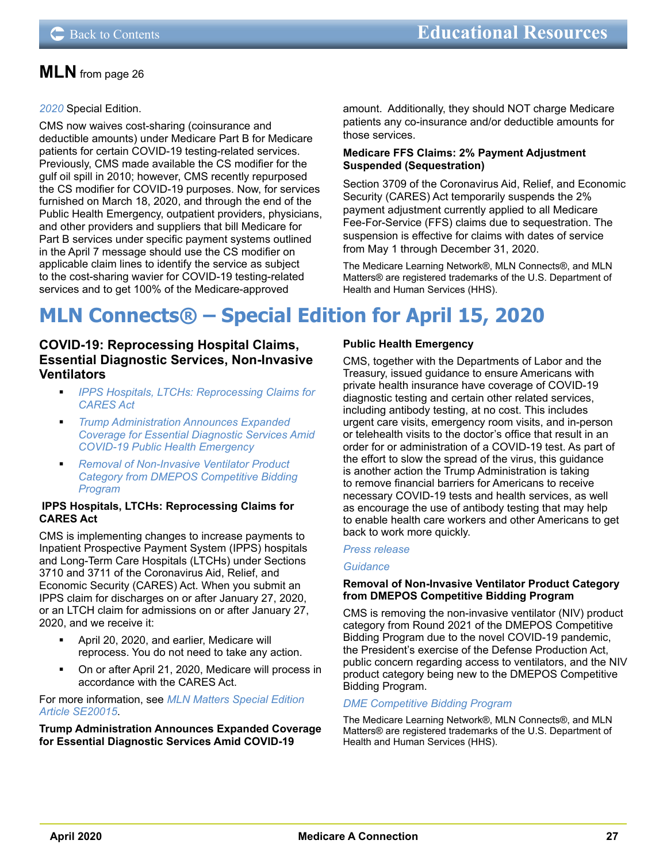## <span id="page-26-0"></span>*[2020](https://www.cms.gov/outreach-and-educationoutreachffsprovpartprogprovider-partnership-email-archive/2020-04-07-mlnc-se)* Special Edition.

CMS now waives cost-sharing (coinsurance and deductible amounts) under Medicare Part B for Medicare patients for certain COVID-19 testing-related services. Previously, CMS made available the CS modifier for the gulf oil spill in 2010; however, CMS recently repurposed the CS modifier for COVID-19 purposes. Now, for services furnished on March 18, 2020, and through the end of the Public Health Emergency, outpatient providers, physicians, and other providers and suppliers that bill Medicare for Part B services under specific payment systems outlined in the April 7 message should use the CS modifier on applicable claim lines to identify the service as subject to the cost-sharing wavier for COVID-19 testing-related services and to get 100% of the Medicare-approved

amount. Additionally, they should NOT charge Medicare patients any co-insurance and/or deductible amounts for those services.

### **Medicare FFS Claims: 2% Payment Adjustment Suspended (Sequestration)**

Section 3709 of the Coronavirus Aid, Relief, and Economic Security (CARES) Act temporarily suspends the 2% payment adjustment currently applied to all Medicare Fee-For-Service (FFS) claims due to sequestration. The suspension is effective for claims with dates of service from May 1 through December 31, 2020.

The Medicare Learning Network®, MLN Connects®, and MLN Matters® are registered trademarks of the U.S. Department of Health and Human Services (HHS).

## **MLN Connects® – Special Edition for April 15, 2020**

## **COVID-19: Reprocessing Hospital Claims, Essential Diagnostic Services, Non-Invasive Ventilators**

- *IPPS Hospitals, LTCHs: Reprocessing Claims for CARES Act*
- *Trump Administration Announces Expanded Coverage for Essential Diagnostic Services Amid COVID-19 Public Health Emergency*
- *Removal of Non-Invasive Ventilator Product Category from DMEPOS Competitive Bidding Program*

#### **IPPS Hospitals, LTCHs: Reprocessing Claims for CARES Act**

CMS is implementing changes to increase payments to Inpatient Prospective Payment System (IPPS) hospitals and Long-Term Care Hospitals (LTCHs) under Sections 3710 and 3711 of the Coronavirus Aid, Relief, and Economic Security (CARES) Act. When you submit an IPPS claim for discharges on or after January 27, 2020, or an LTCH claim for admissions on or after January 27, 2020, and we receive it:

- April 20, 2020, and earlier, Medicare will reprocess. You do not need to take any action.
- On or after April 21, 2020, Medicare will process in accordance with the CARES Act.

For more information, see *[MLN Matters Special Edition](https://www.cms.gov/files/document/se20015.pdf)  [Article SE20015](https://www.cms.gov/files/document/se20015.pdf)*.

**Trump Administration Announces Expanded Coverage for Essential Diagnostic Services Amid COVID-19** 

## **Public Health Emergency**

CMS, together with the Departments of Labor and the Treasury, issued guidance to ensure Americans with private health insurance have coverage of COVID-19 diagnostic testing and certain other related services, including antibody testing, at no cost. This includes urgent care visits, emergency room visits, and in-person or telehealth visits to the doctor's office that result in an order for or administration of a COVID-19 test. As part of the effort to slow the spread of the virus, this guidance is another action the Trump Administration is taking to remove financial barriers for Americans to receive necessary COVID-19 tests and health services, as well as encourage the use of antibody testing that may help to enable health care workers and other Americans to get back to work more quickly.

#### *[Press release](https://www.cms.gov/newsroom/press-releases/trump-administration-announces-expanded-coverage-essential-diagnostic-services-amid-covid-19-public)*

#### *[Guidance](https://www.cms.gov/files/document/FFCRA-Part-42-FAQs.pdf)*

### **Removal of Non-Invasive Ventilator Product Category from DMEPOS Competitive Bidding Program**

CMS is removing the non-invasive ventilator (NIV) product category from Round 2021 of the DMEPOS Competitive Bidding Program due to the novel COVID-19 pandemic, the President's exercise of the Defense Production Act, public concern regarding access to ventilators, and the NIV product category being new to the DMEPOS Competitive Bidding Program.

## *[DME Competitive Bidding Program](https://www.dmecompetitivebid.com/nivremoval)*

The Medicare Learning Network®, MLN Connects®, and MLN Matters® are registered trademarks of the U.S. Department of Health and Human Services (HHS).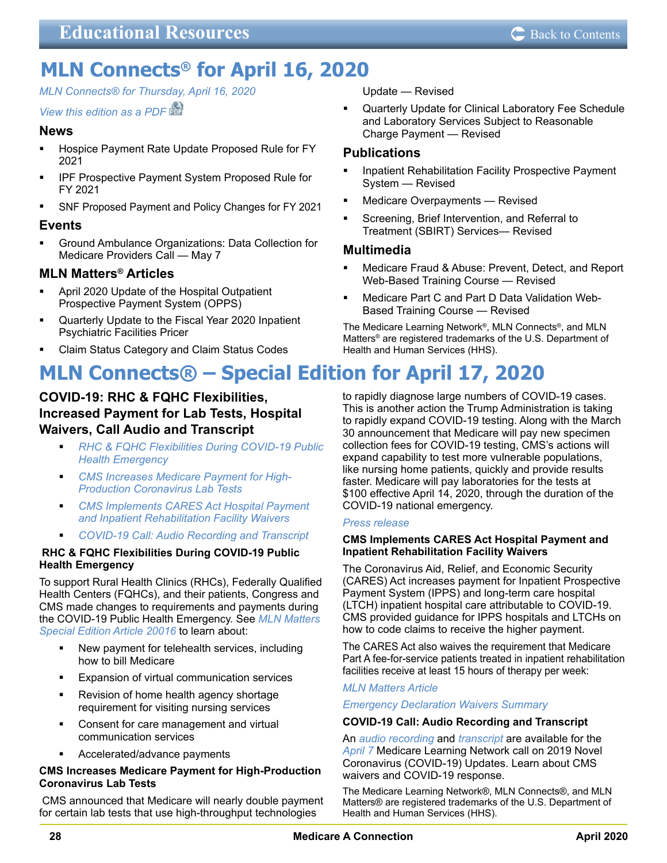## <span id="page-27-0"></span>**MLN Connects® for April 16, 2020**

*MLN Connects® [for Thursday, April 16, 2020](https://www.cms.gov/outreach-and-educationoutreachffsprovpartprogprovider-partnership-email-archive/2020-04-16-mlnc)*

## *[View this edition as a PDF](https://www.cms.gov/files/document/2020-04-16-mlnc.pdf)*

## **News**

- Hospice Payment Rate Update Proposed Rule for FY 2021
- IPF Prospective Payment System Proposed Rule for FY 2021
- SNF Proposed Payment and Policy Changes for FY 2021

## **Events**

 Ground Ambulance Organizations: Data Collection for Medicare Providers Call — May 7

## **MLN Matters® Articles**

- April 2020 Update of the Hospital Outpatient Prospective Payment System (OPPS)
- Quarterly Update to the Fiscal Year 2020 Inpatient Psychiatric Facilities Pricer
- Claim Status Category and Claim Status Codes

#### Update — Revised

 Quarterly Update for Clinical Laboratory Fee Schedule and Laboratory Services Subject to Reasonable Charge Payment — Revised

## **Publications**

- Inpatient Rehabilitation Facility Prospective Payment System — Revised
- Medicare Overpayments Revised
- Screening, Brief Intervention, and Referral to Treatment (SBIRT) Services— Revised

## **Multimedia**

- Medicare Fraud & Abuse: Prevent, Detect, and Report Web-Based Training Course — Revised
- Medicare Part C and Part D Data Validation Web-Based Training Course — Revised

The Medicare Learning Network®, MLN Connects®, and MLN Matters® are registered trademarks of the U.S. Department of Health and Human Services (HHS).

## **MLN Connects® – Special Edition for April 17, 2020**

## **COVID-19: RHC & FQHC Flexibilities, Increased Payment for Lab Tests, Hospital Waivers, Call Audio and Transcript**

- *RHC & FQHC Flexibilities During COVID-19 Public Health Emergency*
- *CMS Increases Medicare Payment for High-Production Coronavirus Lab Tests*
- *CMS Implements CARES Act Hospital Payment and Inpatient Rehabilitation Facility Waivers*
- *COVID-19 Call: Audio Recording and Transcript*

### **RHC & FQHC Flexibilities During COVID-19 Public Health Emergency**

To support Rural Health Clinics (RHCs), Federally Qualified Health Centers (FQHCs), and their patients, Congress and CMS made changes to requirements and payments during the COVID-19 Public Health Emergency. See *[MLN Matters](https://www.cms.gov/files/document/se20016.pdf)  [Special Edition Article 20016](https://www.cms.gov/files/document/se20016.pdf)* to learn about:

- New payment for telehealth services, including how to bill Medicare
- Expansion of virtual communication services
- Revision of home health agency shortage requirement for visiting nursing services
- Consent for care management and virtual communication services
- Accelerated/advance payments

### **CMS Increases Medicare Payment for High-Production Coronavirus Lab Tests**

 CMS announced that Medicare will nearly double payment for certain lab tests that use high-throughput technologies

to rapidly diagnose large numbers of COVID-19 cases. This is another action the Trump Administration is taking to rapidly expand COVID-19 testing. Along with the March 30 announcement that Medicare will pay new specimen collection fees for COVID-19 testing, CMS's actions will expand capability to test more vulnerable populations, like nursing home patients, quickly and provide results faster. Medicare will pay laboratories for the tests at \$100 effective April 14, 2020, through the duration of the COVID-19 national emergency.

#### *[Press release](https://www.cms.gov/newsroom/press-releases/cms-increases-medicare-payment-high-production-coronavirus-lab-tests-0)*

## **CMS Implements CARES Act Hospital Payment and Inpatient Rehabilitation Facility Waivers**

The Coronavirus Aid, Relief, and Economic Security (CARES) Act increases payment for Inpatient Prospective Payment System (IPPS) and long-term care hospital (LTCH) inpatient hospital care attributable to COVID-19. CMS provided guidance for IPPS hospitals and LTCHs on how to code claims to receive the higher payment.

The CARES Act also waives the requirement that Medicare Part A fee-for-service patients treated in inpatient rehabilitation facilities receive at least 15 hours of therapy per week:

#### *[MLN Matters Article](https://www.cms.gov/files/document/se20015.pdf)*

*[Emergency Declaration Waivers Summary](https://www.cms.gov/files/document/summary-covid-19-emergency-declaration-waivers.pdf)*

#### **COVID-19 Call: Audio Recording and Transcript**

An *[audio recording](https://www.cms.gov/files/zip/2020-04-07-npc-covid19-audio.zip)* and *[transcript](https://www.cms.gov/files/document/2020-04-07-npc-covid19-transcript.pdf)* are available for the *[April 7](https://www.cms.gov/outreach-and-educationoutreachnpcnational-provider-calls-and-events/2020-04-07)* Medicare Learning Network call on 2019 Novel Coronavirus (COVID-19) Updates. Learn about CMS waivers and COVID-19 response.

The Medicare Learning Network®, MLN Connects®, and MLN Matters® are registered trademarks of the U.S. Department of Health and Human Services (HHS).